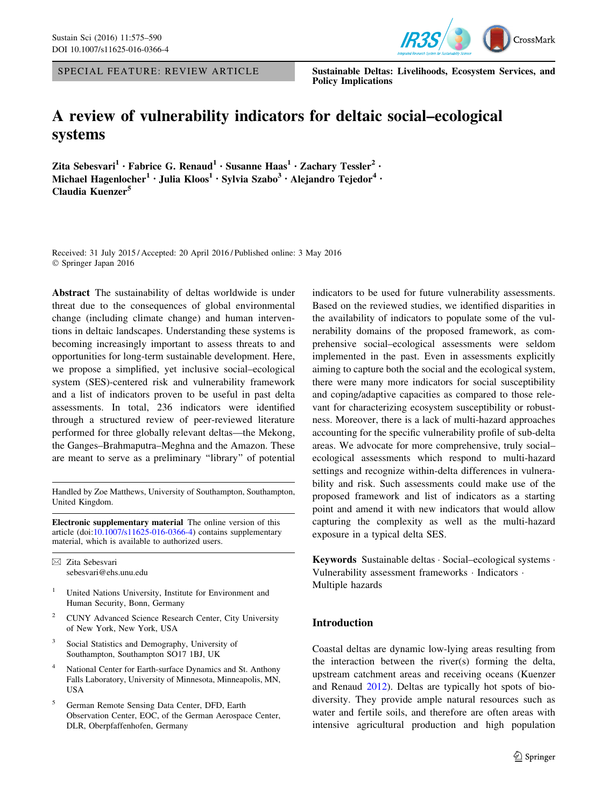



SPECIAL FEATURE: REVIEW ARTICLE Sustainable Deltas: Livelihoods, Ecosystem Services, and Policy Implications

# A review of vulnerability indicators for deltaic social–ecological systems

Zita Sebesvari<sup>1</sup> • Fabrice G. Renaud<sup>1</sup> • Susanne Haas<sup>1</sup> • Zachary Tessler<sup>2</sup> • Michael Hagenlocher<sup>1</sup> · Julia Kloos<sup>1</sup> · Sylvia Szabo<sup>3</sup> · Alejandro Tejedor<sup>4</sup> · Claudia Kuenzer<sup>5</sup>

Received: 31 July 2015 / Accepted: 20 April 2016 / Published online: 3 May 2016 - Springer Japan 2016

Abstract The sustainability of deltas worldwide is under threat due to the consequences of global environmental change (including climate change) and human interventions in deltaic landscapes. Understanding these systems is becoming increasingly important to assess threats to and opportunities for long-term sustainable development. Here, we propose a simplified, yet inclusive social–ecological system (SES)-centered risk and vulnerability framework and a list of indicators proven to be useful in past delta assessments. In total, 236 indicators were identified through a structured review of peer-reviewed literature performed for three globally relevant deltas—the Mekong, the Ganges–Brahmaputra–Meghna and the Amazon. These are meant to serve as a preliminary ''library'' of potential

Handled by Zoe Matthews, University of Southampton, Southampton, United Kingdom.

Electronic supplementary material The online version of this article (doi:[10.1007/s11625-016-0366-4\)](http://dx.doi.org/10.1007/s11625-016-0366-4) contains supplementary material, which is available to authorized users.

 $\boxtimes$  Zita Sebesvari sebesvari@ehs.unu.edu

- <sup>1</sup> United Nations University, Institute for Environment and Human Security, Bonn, Germany
- <sup>2</sup> CUNY Advanced Science Research Center, City University of New York, New York, USA
- <sup>3</sup> Social Statistics and Demography, University of Southampton, Southampton SO17 1BJ, UK
- National Center for Earth-surface Dynamics and St. Anthony Falls Laboratory, University of Minnesota, Minneapolis, MN, USA
- <sup>5</sup> German Remote Sensing Data Center, DFD, Earth Observation Center, EOC, of the German Aerospace Center, DLR, Oberpfaffenhofen, Germany

indicators to be used for future vulnerability assessments. Based on the reviewed studies, we identified disparities in the availability of indicators to populate some of the vulnerability domains of the proposed framework, as comprehensive social–ecological assessments were seldom implemented in the past. Even in assessments explicitly aiming to capture both the social and the ecological system, there were many more indicators for social susceptibility and coping/adaptive capacities as compared to those relevant for characterizing ecosystem susceptibility or robustness. Moreover, there is a lack of multi-hazard approaches accounting for the specific vulnerability profile of sub-delta areas. We advocate for more comprehensive, truly social– ecological assessments which respond to multi-hazard settings and recognize within-delta differences in vulnerability and risk. Such assessments could make use of the proposed framework and list of indicators as a starting point and amend it with new indicators that would allow capturing the complexity as well as the multi-hazard exposure in a typical delta SES.

Keywords Sustainable deltas - Social–ecological systems - Vulnerability assessment frameworks · Indicators · Multiple hazards

## Introduction

Coastal deltas are dynamic low-lying areas resulting from the interaction between the river(s) forming the delta, upstream catchment areas and receiving oceans (Kuenzer and Renaud [2012](#page-13-0)). Deltas are typically hot spots of biodiversity. They provide ample natural resources such as water and fertile soils, and therefore are often areas with intensive agricultural production and high population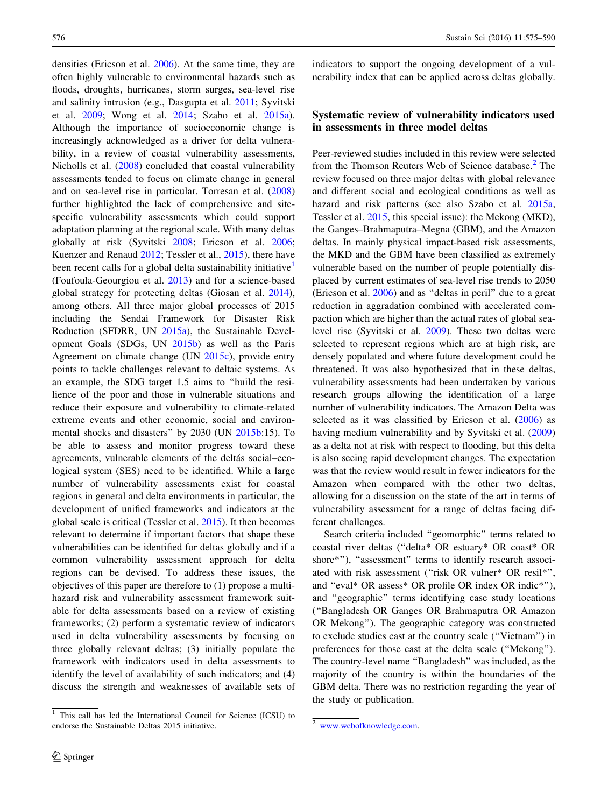densities (Ericson et al. [2006](#page-12-0)). At the same time, they are often highly vulnerable to environmental hazards such as floods, droughts, hurricanes, storm surges, sea-level rise and salinity intrusion (e.g., Dasgupta et al. [2011](#page-12-0); Syvitski et al. [2009;](#page-14-0) Wong et al. [2014;](#page-15-0) Szabo et al. [2015a](#page-14-0)). Although the importance of socioeconomic change is increasingly acknowledged as a driver for delta vulnerability, in a review of coastal vulnerability assessments, Nicholls et al. [\(2008](#page-13-0)) concluded that coastal vulnerability assessments tended to focus on climate change in general and on sea-level rise in particular. Torresan et al. ([2008\)](#page-14-0) further highlighted the lack of comprehensive and sitespecific vulnerability assessments which could support adaptation planning at the regional scale. With many deltas globally at risk (Syvitski [2008](#page-14-0); Ericson et al. [2006](#page-12-0); Kuenzer and Renaud [2012;](#page-13-0) Tessler et al., [2015](#page-14-0)), there have been recent calls for a global delta sustainability initiative<sup>1</sup> (Foufoula-Geourgiou et al. [2013\)](#page-12-0) and for a science-based global strategy for protecting deltas (Giosan et al. [2014](#page-12-0)), among others. All three major global processes of 2015 including the Sendai Framework for Disaster Risk Reduction (SFDRR, UN [2015a\)](#page-14-0), the Sustainable Development Goals (SDGs, UN [2015b\)](#page-14-0) as well as the Paris Agreement on climate change (UN [2015c\)](#page-14-0), provide entry points to tackle challenges relevant to deltaic systems. As an example, the SDG target 1.5 aims to ''build the resilience of the poor and those in vulnerable situations and reduce their exposure and vulnerability to climate-related extreme events and other economic, social and environmental shocks and disasters'' by 2030 (UN [2015b](#page-14-0):15). To be able to assess and monitor progress toward these agreements, vulnerable elements of the deltás social–ecological system (SES) need to be identified. While a large number of vulnerability assessments exist for coastal regions in general and delta environments in particular, the development of unified frameworks and indicators at the global scale is critical (Tessler et al. [2015](#page-14-0)). It then becomes relevant to determine if important factors that shape these vulnerabilities can be identified for deltas globally and if a common vulnerability assessment approach for delta regions can be devised. To address these issues, the objectives of this paper are therefore to (1) propose a multihazard risk and vulnerability assessment framework suitable for delta assessments based on a review of existing frameworks; (2) perform a systematic review of indicators used in delta vulnerability assessments by focusing on three globally relevant deltas; (3) initially populate the framework with indicators used in delta assessments to identify the level of availability of such indicators; and (4) discuss the strength and weaknesses of available sets of

indicators to support the ongoing development of a vulnerability index that can be applied across deltas globally.

# Systematic review of vulnerability indicators used in assessments in three model deltas

Peer-reviewed studies included in this review were selected from the Thomson Reuters Web of Science database.<sup>2</sup> The review focused on three major deltas with global relevance and different social and ecological conditions as well as hazard and risk patterns (see also Szabo et al. [2015a,](#page-14-0) Tessler et al. [2015,](#page-14-0) this special issue): the Mekong (MKD), the Ganges–Brahmaputra–Megna (GBM), and the Amazon deltas. In mainly physical impact-based risk assessments, the MKD and the GBM have been classified as extremely vulnerable based on the number of people potentially displaced by current estimates of sea-level rise trends to 2050 (Ericson et al. [2006](#page-12-0)) and as ''deltas in peril'' due to a great reduction in aggradation combined with accelerated compaction which are higher than the actual rates of global sealevel rise (Syvitski et al. [2009](#page-14-0)). These two deltas were selected to represent regions which are at high risk, are densely populated and where future development could be threatened. It was also hypothesized that in these deltas, vulnerability assessments had been undertaken by various research groups allowing the identification of a large number of vulnerability indicators. The Amazon Delta was selected as it was classified by Ericson et al.  $(2006)$  $(2006)$  as having medium vulnerability and by Syvitski et al. ([2009\)](#page-14-0) as a delta not at risk with respect to flooding, but this delta is also seeing rapid development changes. The expectation was that the review would result in fewer indicators for the Amazon when compared with the other two deltas, allowing for a discussion on the state of the art in terms of vulnerability assessment for a range of deltas facing different challenges.

Search criteria included ''geomorphic'' terms related to coastal river deltas (''delta\* OR estuary\* OR coast\* OR shore\*"), "assessment" terms to identify research associated with risk assessment (''risk OR vulner\* OR resil\*'', and ''eval\* OR assess\* OR profile OR index OR indic\*''), and ''geographic'' terms identifying case study locations (''Bangladesh OR Ganges OR Brahmaputra OR Amazon OR Mekong''). The geographic category was constructed to exclude studies cast at the country scale (''Vietnam'') in preferences for those cast at the delta scale (''Mekong''). The country-level name ''Bangladesh'' was included, as the majority of the country is within the boundaries of the GBM delta. There was no restriction regarding the year of the study or publication.

<sup>&</sup>lt;sup>1</sup> This call has led the International Council for Science (ICSU) to endorse the Sustainable Deltas 2015 initiative.<sup>2</sup> [www.webofknowledge.com](http://www.webofknowledge.com).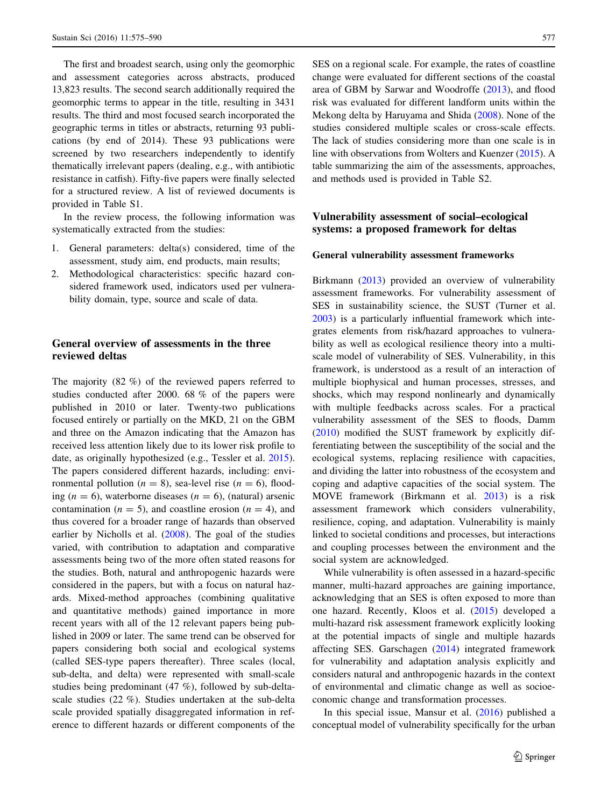The first and broadest search, using only the geomorphic and assessment categories across abstracts, produced 13,823 results. The second search additionally required the geomorphic terms to appear in the title, resulting in 3431 results. The third and most focused search incorporated the geographic terms in titles or abstracts, returning 93 publications (by end of 2014). These 93 publications were screened by two researchers independently to identify thematically irrelevant papers (dealing, e.g., with antibiotic resistance in catfish). Fifty-five papers were finally selected for a structured review. A list of reviewed documents is provided in Table S1.

In the review process, the following information was systematically extracted from the studies:

- 1. General parameters: delta(s) considered, time of the assessment, study aim, end products, main results;
- 2. Methodological characteristics: specific hazard considered framework used, indicators used per vulnerability domain, type, source and scale of data.

# General overview of assessments in the three reviewed deltas

The majority (82 %) of the reviewed papers referred to studies conducted after 2000. 68 % of the papers were published in 2010 or later. Twenty-two publications focused entirely or partially on the MKD, 21 on the GBM and three on the Amazon indicating that the Amazon has received less attention likely due to its lower risk profile to date, as originally hypothesized (e.g., Tessler et al. [2015](#page-14-0)). The papers considered different hazards, including: environmental pollution ( $n = 8$ ), sea-level rise ( $n = 6$ ), flooding ( $n = 6$ ), waterborne diseases ( $n = 6$ ), (natural) arsenic contamination ( $n = 5$ ), and coastline erosion ( $n = 4$ ), and thus covered for a broader range of hazards than observed earlier by Nicholls et al. ([2008\)](#page-13-0). The goal of the studies varied, with contribution to adaptation and comparative assessments being two of the more often stated reasons for the studies. Both, natural and anthropogenic hazards were considered in the papers, but with a focus on natural hazards. Mixed-method approaches (combining qualitative and quantitative methods) gained importance in more recent years with all of the 12 relevant papers being published in 2009 or later. The same trend can be observed for papers considering both social and ecological systems (called SES-type papers thereafter). Three scales (local, sub-delta, and delta) were represented with small-scale studies being predominant (47 %), followed by sub-deltascale studies (22 %). Studies undertaken at the sub-delta scale provided spatially disaggregated information in reference to different hazards or different components of the SES on a regional scale. For example, the rates of coastline change were evaluated for different sections of the coastal area of GBM by Sarwar and Woodroffe ([2013\)](#page-14-0), and flood risk was evaluated for different landform units within the Mekong delta by Haruyama and Shida ([2008\)](#page-12-0). None of the studies considered multiple scales or cross-scale effects. The lack of studies considering more than one scale is in line with observations from Wolters and Kuenzer ([2015\)](#page-15-0). A table summarizing the aim of the assessments, approaches, and methods used is provided in Table S2.

## Vulnerability assessment of social–ecological systems: a proposed framework for deltas

#### General vulnerability assessment frameworks

Birkmann [\(2013](#page-12-0)) provided an overview of vulnerability assessment frameworks. For vulnerability assessment of SES in sustainability science, the SUST (Turner et al. [2003](#page-14-0)) is a particularly influential framework which integrates elements from risk/hazard approaches to vulnerability as well as ecological resilience theory into a multiscale model of vulnerability of SES. Vulnerability, in this framework, is understood as a result of an interaction of multiple biophysical and human processes, stresses, and shocks, which may respond nonlinearly and dynamically with multiple feedbacks across scales. For a practical vulnerability assessment of the SES to floods, Damm [\(2010](#page-12-0)) modified the SUST framework by explicitly differentiating between the susceptibility of the social and the ecological systems, replacing resilience with capacities, and dividing the latter into robustness of the ecosystem and coping and adaptive capacities of the social system. The MOVE framework (Birkmann et al. [2013](#page-12-0)) is a risk assessment framework which considers vulnerability, resilience, coping, and adaptation. Vulnerability is mainly linked to societal conditions and processes, but interactions and coupling processes between the environment and the social system are acknowledged.

While vulnerability is often assessed in a hazard-specific manner, multi-hazard approaches are gaining importance, acknowledging that an SES is often exposed to more than one hazard. Recently, Kloos et al. ([2015](#page-13-0)) developed a multi-hazard risk assessment framework explicitly looking at the potential impacts of single and multiple hazards affecting SES. Garschagen ([2014\)](#page-12-0) integrated framework for vulnerability and adaptation analysis explicitly and considers natural and anthropogenic hazards in the context of environmental and climatic change as well as socioeconomic change and transformation processes.

In this special issue, Mansur et al. ([2016\)](#page-13-0) published a conceptual model of vulnerability specifically for the urban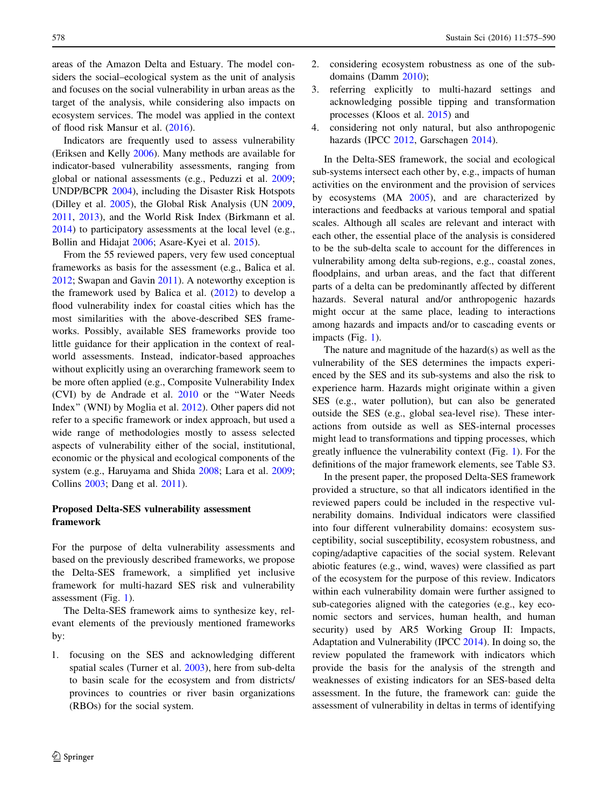areas of the Amazon Delta and Estuary. The model considers the social–ecological system as the unit of analysis and focuses on the social vulnerability in urban areas as the target of the analysis, while considering also impacts on ecosystem services. The model was applied in the context of flood risk Mansur et al. ([2016\)](#page-13-0).

Indicators are frequently used to assess vulnerability (Eriksen and Kelly [2006\)](#page-12-0). Many methods are available for indicator-based vulnerability assessments, ranging from global or national assessments (e.g., Peduzzi et al. [2009](#page-13-0); UNDP/BCPR [2004\)](#page-14-0), including the Disaster Risk Hotspots (Dilley et al. [2005\)](#page-12-0), the Global Risk Analysis (UN [2009,](#page-14-0) [2011,](#page-14-0) [2013](#page-14-0)), and the World Risk Index (Birkmann et al. [2014\)](#page-12-0) to participatory assessments at the local level (e.g., Bollin and Hidajat [2006](#page-12-0); Asare-Kyei et al. [2015](#page-11-0)).

From the 55 reviewed papers, very few used conceptual frameworks as basis for the assessment (e.g., Balica et al. [2012;](#page-11-0) Swapan and Gavin [2011\)](#page-14-0). A noteworthy exception is the framework used by Balica et al. ([2012\)](#page-11-0) to develop a flood vulnerability index for coastal cities which has the most similarities with the above-described SES frameworks. Possibly, available SES frameworks provide too little guidance for their application in the context of realworld assessments. Instead, indicator-based approaches without explicitly using an overarching framework seem to be more often applied (e.g., Composite Vulnerability Index (CVI) by de Andrade et al. [2010](#page-12-0) or the ''Water Needs Index'' (WNI) by Moglia et al. [2012](#page-13-0)). Other papers did not refer to a specific framework or index approach, but used a wide range of methodologies mostly to assess selected aspects of vulnerability either of the social, institutional, economic or the physical and ecological components of the system (e.g., Haruyama and Shida [2008;](#page-12-0) Lara et al. [2009](#page-13-0); Collins [2003](#page-12-0); Dang et al. [2011\)](#page-12-0).

# Proposed Delta-SES vulnerability assessment framework

For the purpose of delta vulnerability assessments and based on the previously described frameworks, we propose the Delta-SES framework, a simplified yet inclusive framework for multi-hazard SES risk and vulnerability assessment (Fig. [1](#page-4-0)).

The Delta-SES framework aims to synthesize key, relevant elements of the previously mentioned frameworks by:

1. focusing on the SES and acknowledging different spatial scales (Turner et al. [2003\)](#page-14-0), here from sub-delta to basin scale for the ecosystem and from districts/ provinces to countries or river basin organizations (RBOs) for the social system.

- 2. considering ecosystem robustness as one of the subdomains (Damm [2010](#page-12-0));
- 3. referring explicitly to multi-hazard settings and acknowledging possible tipping and transformation processes (Kloos et al. [2015\)](#page-13-0) and
- 4. considering not only natural, but also anthropogenic hazards (IPCC [2012,](#page-13-0) Garschagen [2014](#page-12-0)).

In the Delta-SES framework, the social and ecological sub-systems intersect each other by, e.g., impacts of human activities on the environment and the provision of services by ecosystems (MA [2005](#page-13-0)), and are characterized by interactions and feedbacks at various temporal and spatial scales. Although all scales are relevant and interact with each other, the essential place of the analysis is considered to be the sub-delta scale to account for the differences in vulnerability among delta sub-regions, e.g., coastal zones, floodplains, and urban areas, and the fact that different parts of a delta can be predominantly affected by different hazards. Several natural and/or anthropogenic hazards might occur at the same place, leading to interactions among hazards and impacts and/or to cascading events or impacts (Fig. [1](#page-4-0)).

The nature and magnitude of the hazard(s) as well as the vulnerability of the SES determines the impacts experienced by the SES and its sub-systems and also the risk to experience harm. Hazards might originate within a given SES (e.g., water pollution), but can also be generated outside the SES (e.g., global sea-level rise). These interactions from outside as well as SES-internal processes might lead to transformations and tipping processes, which greatly influence the vulnerability context (Fig. [1](#page-4-0)). For the definitions of the major framework elements, see Table S3.

In the present paper, the proposed Delta-SES framework provided a structure, so that all indicators identified in the reviewed papers could be included in the respective vulnerability domains. Individual indicators were classified into four different vulnerability domains: ecosystem susceptibility, social susceptibility, ecosystem robustness, and coping/adaptive capacities of the social system. Relevant abiotic features (e.g., wind, waves) were classified as part of the ecosystem for the purpose of this review. Indicators within each vulnerability domain were further assigned to sub-categories aligned with the categories (e.g., key economic sectors and services, human health, and human security) used by AR5 Working Group II: Impacts, Adaptation and Vulnerability (IPCC [2014\)](#page-13-0). In doing so, the review populated the framework with indicators which provide the basis for the analysis of the strength and weaknesses of existing indicators for an SES-based delta assessment. In the future, the framework can: guide the assessment of vulnerability in deltas in terms of identifying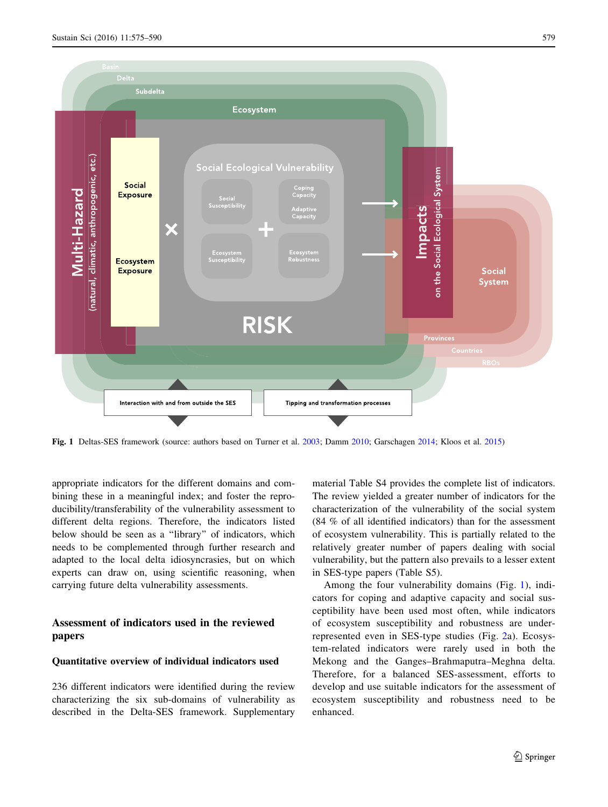<span id="page-4-0"></span>

Fig. 1 Deltas-SES framework (source: authors based on Turner et al. [2003](#page-14-0); Damm [2010;](#page-12-0) Garschagen [2014;](#page-12-0) Kloos et al. [2015\)](#page-13-0)

appropriate indicators for the different domains and combining these in a meaningful index; and foster the reproducibility/transferability of the vulnerability assessment to different delta regions. Therefore, the indicators listed below should be seen as a ''library'' of indicators, which needs to be complemented through further research and adapted to the local delta idiosyncrasies, but on which experts can draw on, using scientific reasoning, when carrying future delta vulnerability assessments.

# Assessment of indicators used in the reviewed papers

#### Quantitative overview of individual indicators used

236 different indicators were identified during the review characterizing the six sub-domains of vulnerability as described in the Delta-SES framework. Supplementary material Table S4 provides the complete list of indicators. The review yielded a greater number of indicators for the characterization of the vulnerability of the social system (84 % of all identified indicators) than for the assessment of ecosystem vulnerability. This is partially related to the relatively greater number of papers dealing with social vulnerability, but the pattern also prevails to a lesser extent in SES-type papers (Table S5).

Among the four vulnerability domains (Fig. 1), indicators for coping and adaptive capacity and social susceptibility have been used most often, while indicators of ecosystem susceptibility and robustness are underrepresented even in SES-type studies (Fig. [2](#page-5-0)a). Ecosystem-related indicators were rarely used in both the Mekong and the Ganges–Brahmaputra–Meghna delta. Therefore, for a balanced SES-assessment, efforts to develop and use suitable indicators for the assessment of ecosystem susceptibility and robustness need to be enhanced.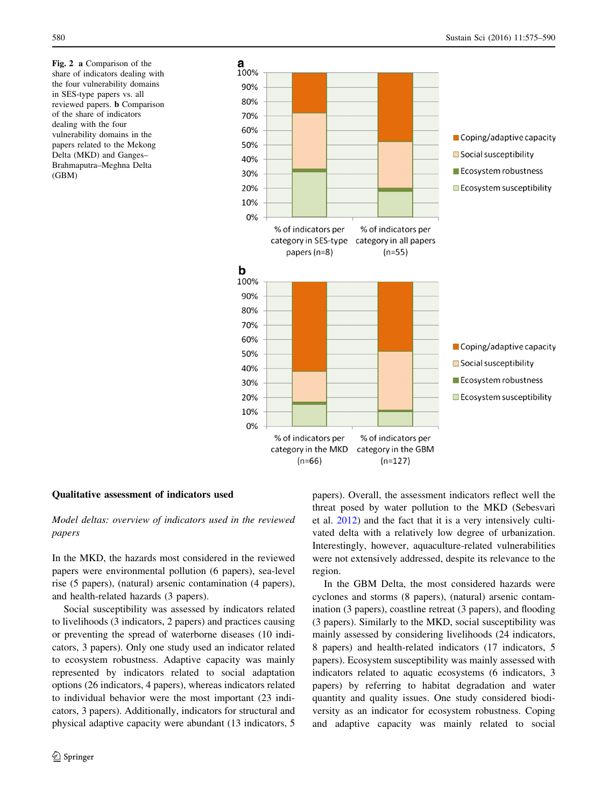<span id="page-5-0"></span>Fig. 2 a Comparison of the share of indicators dealing with the four vulnerability domains in SES-type papers vs. all reviewed papers. b Comparison of the share of indicators dealing with the four vulnerability domains in the papers related to the Mekong Delta (MKD) and Ganges– Brahmaputra–Meghna Delta (GBM)



## Qualitative assessment of indicators used

# Model deltas: overview of indicators used in the reviewed papers

In the MKD, the hazards most considered in the reviewed papers were environmental pollution (6 papers), sea-level rise (5 papers), (natural) arsenic contamination (4 papers), and health-related hazards (3 papers).

Social susceptibility was assessed by indicators related to livelihoods (3 indicators, 2 papers) and practices causing or preventing the spread of waterborne diseases (10 indicators, 3 papers). Only one study used an indicator related to ecosystem robustness. Adaptive capacity was mainly represented by indicators related to social adaptation options (26 indicators, 4 papers), whereas indicators related to individual behavior were the most important (23 indicators, 3 papers). Additionally, indicators for structural and physical adaptive capacity were abundant (13 indicators, 5 papers). Overall, the assessment indicators reflect well the threat posed by water pollution to the MKD (Sebesvari et al. [2012](#page-14-0)) and the fact that it is a very intensively cultivated delta with a relatively low degree of urbanization. Interestingly, however, aquaculture-related vulnerabilities were not extensively addressed, despite its relevance to the region.

In the GBM Delta, the most considered hazards were cyclones and storms (8 papers), (natural) arsenic contamination (3 papers), coastline retreat (3 papers), and flooding (3 papers). Similarly to the MKD, social susceptibility was mainly assessed by considering livelihoods (24 indicators, 8 papers) and health-related indicators (17 indicators, 5 papers). Ecosystem susceptibility was mainly assessed with indicators related to aquatic ecosystems (6 indicators, 3 papers) by referring to habitat degradation and water quantity and quality issues. One study considered biodiversity as an indicator for ecosystem robustness. Coping and adaptive capacity was mainly related to social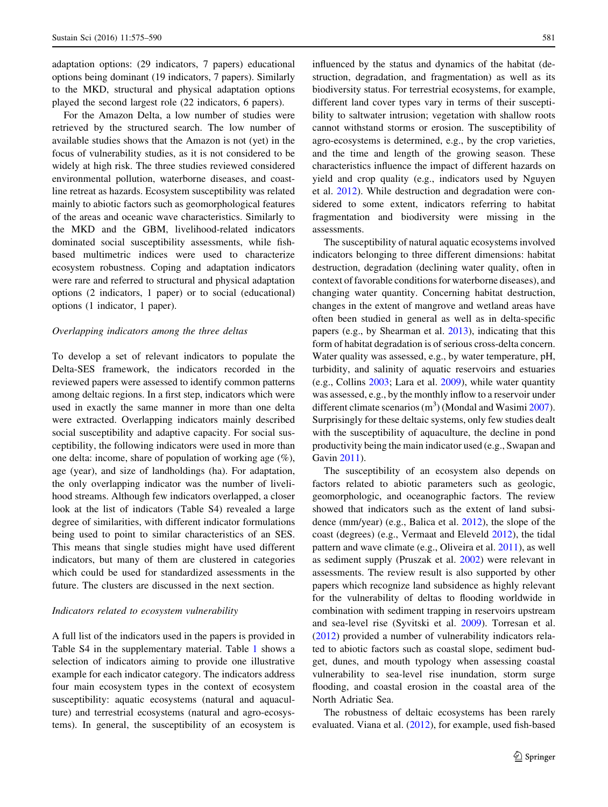adaptation options: (29 indicators, 7 papers) educational options being dominant (19 indicators, 7 papers). Similarly to the MKD, structural and physical adaptation options played the second largest role (22 indicators, 6 papers).

For the Amazon Delta, a low number of studies were retrieved by the structured search. The low number of available studies shows that the Amazon is not (yet) in the focus of vulnerability studies, as it is not considered to be widely at high risk. The three studies reviewed considered environmental pollution, waterborne diseases, and coastline retreat as hazards. Ecosystem susceptibility was related mainly to abiotic factors such as geomorphological features of the areas and oceanic wave characteristics. Similarly to the MKD and the GBM, livelihood-related indicators dominated social susceptibility assessments, while fishbased multimetric indices were used to characterize ecosystem robustness. Coping and adaptation indicators were rare and referred to structural and physical adaptation options (2 indicators, 1 paper) or to social (educational) options (1 indicator, 1 paper).

#### Overlapping indicators among the three deltas

To develop a set of relevant indicators to populate the Delta-SES framework, the indicators recorded in the reviewed papers were assessed to identify common patterns among deltaic regions. In a first step, indicators which were used in exactly the same manner in more than one delta were extracted. Overlapping indicators mainly described social susceptibility and adaptive capacity. For social susceptibility, the following indicators were used in more than one delta: income, share of population of working age (%), age (year), and size of landholdings (ha). For adaptation, the only overlapping indicator was the number of livelihood streams. Although few indicators overlapped, a closer look at the list of indicators (Table S4) revealed a large degree of similarities, with different indicator formulations being used to point to similar characteristics of an SES. This means that single studies might have used different indicators, but many of them are clustered in categories which could be used for standardized assessments in the future. The clusters are discussed in the next section.

#### Indicators related to ecosystem vulnerability

A full list of the indicators used in the papers is provided in Table S4 in the supplementary material. Table [1](#page-7-0) shows a selection of indicators aiming to provide one illustrative example for each indicator category. The indicators address four main ecosystem types in the context of ecosystem susceptibility: aquatic ecosystems (natural and aquaculture) and terrestrial ecosystems (natural and agro-ecosystems). In general, the susceptibility of an ecosystem is influenced by the status and dynamics of the habitat (destruction, degradation, and fragmentation) as well as its biodiversity status. For terrestrial ecosystems, for example, different land cover types vary in terms of their susceptibility to saltwater intrusion; vegetation with shallow roots cannot withstand storms or erosion. The susceptibility of agro-ecosystems is determined, e.g., by the crop varieties, and the time and length of the growing season. These characteristics influence the impact of different hazards on yield and crop quality (e.g., indicators used by Nguyen et al. [2012\)](#page-13-0). While destruction and degradation were considered to some extent, indicators referring to habitat fragmentation and biodiversity were missing in the assessments.

The susceptibility of natural aquatic ecosystems involved indicators belonging to three different dimensions: habitat destruction, degradation (declining water quality, often in context of favorable conditions for waterborne diseases), and changing water quantity. Concerning habitat destruction, changes in the extent of mangrove and wetland areas have often been studied in general as well as in delta-specific papers (e.g., by Shearman et al. [2013](#page-14-0)), indicating that this form of habitat degradation is of serious cross-delta concern. Water quality was assessed, e.g., by water temperature, pH, turbidity, and salinity of aquatic reservoirs and estuaries (e.g., Collins [2003](#page-12-0); Lara et al. [2009\)](#page-13-0), while water quantity was assessed, e.g., by the monthly inflow to a reservoir under different climate scenarios  $(m^3)$  (Mondal and Wasimi [2007](#page-13-0)). Surprisingly for these deltaic systems, only few studies dealt with the susceptibility of aquaculture, the decline in pond productivity being the main indicator used (e.g., Swapan and Gavin [2011](#page-14-0)).

The susceptibility of an ecosystem also depends on factors related to abiotic parameters such as geologic, geomorphologic, and oceanographic factors. The review showed that indicators such as the extent of land subsidence (mm/year) (e.g., Balica et al. [2012\)](#page-11-0), the slope of the coast (degrees) (e.g., Vermaat and Eleveld [2012](#page-14-0)), the tidal pattern and wave climate (e.g., Oliveira et al. [2011](#page-13-0)), as well as sediment supply (Pruszak et al. [2002\)](#page-14-0) were relevant in assessments. The review result is also supported by other papers which recognize land subsidence as highly relevant for the vulnerability of deltas to flooding worldwide in combination with sediment trapping in reservoirs upstream and sea-level rise (Syvitski et al. [2009\)](#page-14-0). Torresan et al. [\(2012](#page-14-0)) provided a number of vulnerability indicators related to abiotic factors such as coastal slope, sediment budget, dunes, and mouth typology when assessing coastal vulnerability to sea-level rise inundation, storm surge flooding, and coastal erosion in the coastal area of the North Adriatic Sea.

The robustness of deltaic ecosystems has been rarely evaluated. Viana et al. [\(2012](#page-15-0)), for example, used fish-based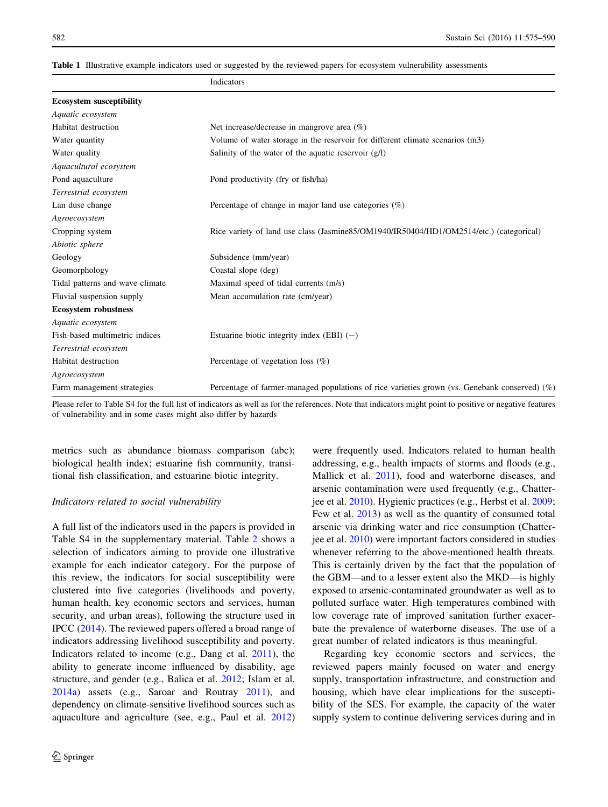<span id="page-7-0"></span>

|                                 | Indicators                                                                                    |  |
|---------------------------------|-----------------------------------------------------------------------------------------------|--|
| <b>Ecosystem susceptibility</b> |                                                                                               |  |
| Aquatic ecosystem               |                                                                                               |  |
| Habitat destruction             | Net increase/decrease in mangrove area $(\% )$                                                |  |
| Water quantity                  | Volume of water storage in the reservoir for different climate scenarios (m3)                 |  |
| Water quality                   | Salinity of the water of the aquatic reservoir $(g/I)$                                        |  |
| Aquacultural ecosystem          |                                                                                               |  |
| Pond aquaculture                | Pond productivity (fry or fish/ha)                                                            |  |
| Terrestrial ecosystem           |                                                                                               |  |
| Lan duse change                 | Percentage of change in major land use categories $(\%)$                                      |  |
| Agroecosystem                   |                                                                                               |  |
| Cropping system                 | Rice variety of land use class (Jasmine85/OM1940/IR50404/HD1/OM2514/etc.) (categorical)       |  |
| Abiotic sphere                  |                                                                                               |  |
| Geology                         | Subsidence (mm/year)                                                                          |  |
| Geomorphology                   | Coastal slope (deg)                                                                           |  |
| Tidal patterns and wave climate | Maximal speed of tidal currents (m/s)                                                         |  |
| Fluvial suspension supply       | Mean accumulation rate (cm/year)                                                              |  |
| <b>Ecosystem robustness</b>     |                                                                                               |  |
| Aquatic ecosystem               |                                                                                               |  |
| Fish-based multimetric indices  | Estuarine biotic integrity index (EBI) $(-)$                                                  |  |
| Terrestrial ecosystem           |                                                                                               |  |
| Habitat destruction             | Percentage of vegetation loss $(\%)$                                                          |  |
| Agroecosystem                   |                                                                                               |  |
| Farm management strategies      | Percentage of farmer-managed populations of rice varieties grown (vs. Genebank conserved) (%) |  |

Please refer to Table S4 for the full list of indicators as well as for the references. Note that indicators might point to positive or negative features of vulnerability and in some cases might also differ by hazards

metrics such as abundance biomass comparison (abc); biological health index; estuarine fish community, transitional fish classification, and estuarine biotic integrity.

#### Indicators related to social vulnerability

A full list of the indicators used in the papers is provided in Table S4 in the supplementary material. Table [2](#page-8-0) shows a selection of indicators aiming to provide one illustrative example for each indicator category. For the purpose of this review, the indicators for social susceptibility were clustered into five categories (livelihoods and poverty, human health, key economic sectors and services, human security, and urban areas), following the structure used in IPCC ([2014\)](#page-13-0). The reviewed papers offered a broad range of indicators addressing livelihood susceptibility and poverty. Indicators related to income (e.g., Dang et al. [2011](#page-12-0)), the ability to generate income influenced by disability, age structure, and gender (e.g., Balica et al. [2012;](#page-11-0) Islam et al. [2014a](#page-13-0)) assets (e.g., Saroar and Routray [2011](#page-14-0)), and dependency on climate-sensitive livelihood sources such as aquaculture and agriculture (see, e.g., Paul et al. [2012\)](#page-13-0) were frequently used. Indicators related to human health addressing, e.g., health impacts of storms and floods (e.g., Mallick et al. [2011](#page-13-0)), food and waterborne diseases, and arsenic contamination were used frequently (e.g., Chatterjee et al. [2010](#page-12-0)). Hygienic practices (e.g., Herbst et al. [2009](#page-12-0); Few et al. [2013\)](#page-12-0) as well as the quantity of consumed total arsenic via drinking water and rice consumption (Chatterjee et al. [2010](#page-12-0)) were important factors considered in studies whenever referring to the above-mentioned health threats. This is certainly driven by the fact that the population of the GBM—and to a lesser extent also the MKD—is highly exposed to arsenic-contaminated groundwater as well as to polluted surface water. High temperatures combined with low coverage rate of improved sanitation further exacerbate the prevalence of waterborne diseases. The use of a great number of related indicators is thus meaningful.

Regarding key economic sectors and services, the reviewed papers mainly focused on water and energy supply, transportation infrastructure, and construction and housing, which have clear implications for the susceptibility of the SES. For example, the capacity of the water supply system to continue delivering services during and in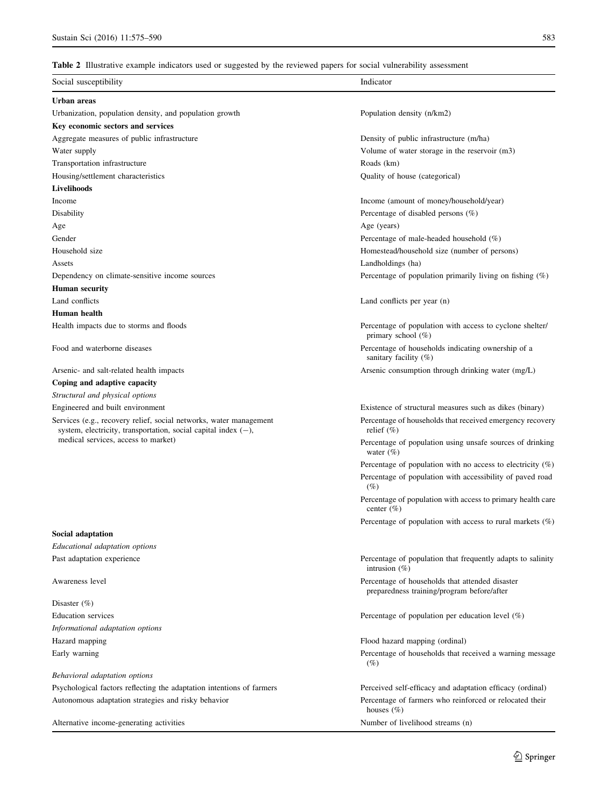## <span id="page-8-0"></span>Table 2 Illustrative example indicators used or suggested by the reviewed papers for social vulnerability assessment

| Social susceptibility                                                                                                                   | Indicator                                                                                     |
|-----------------------------------------------------------------------------------------------------------------------------------------|-----------------------------------------------------------------------------------------------|
| Urban areas                                                                                                                             |                                                                                               |
| Urbanization, population density, and population growth                                                                                 | Population density (n/km2)                                                                    |
| Key economic sectors and services                                                                                                       |                                                                                               |
| Aggregate measures of public infrastructure                                                                                             | Density of public infrastructure (m/ha)                                                       |
| Water supply                                                                                                                            | Volume of water storage in the reservoir (m3)                                                 |
| Transportation infrastructure                                                                                                           | Roads (km)                                                                                    |
| Housing/settlement characteristics                                                                                                      | Quality of house (categorical)                                                                |
| Livelihoods                                                                                                                             |                                                                                               |
| Income                                                                                                                                  | Income (amount of money/household/year)                                                       |
| Disability                                                                                                                              | Percentage of disabled persons $(\%)$                                                         |
| Age                                                                                                                                     | Age (years)                                                                                   |
| Gender                                                                                                                                  | Percentage of male-headed household $(\%)$                                                    |
| Household size                                                                                                                          | Homestead/household size (number of persons)                                                  |
| Assets                                                                                                                                  | Landholdings (ha)                                                                             |
| Dependency on climate-sensitive income sources                                                                                          | Percentage of population primarily living on fishing $(\%)$                                   |
| <b>Human security</b>                                                                                                                   |                                                                                               |
| Land conflicts                                                                                                                          | Land conflicts per year (n)                                                                   |
| Human health                                                                                                                            |                                                                                               |
| Health impacts due to storms and floods                                                                                                 | Percentage of population with access to cyclone shelter/<br>primary school (%)                |
| Food and waterborne diseases                                                                                                            | Percentage of households indicating ownership of a<br>sanitary facility (%)                   |
| Arsenic- and salt-related health impacts                                                                                                | Arsenic consumption through drinking water (mg/L)                                             |
| Coping and adaptive capacity                                                                                                            |                                                                                               |
| Structural and physical options                                                                                                         |                                                                                               |
| Engineered and built environment                                                                                                        | Existence of structural measures such as dikes (binary)                                       |
| Services (e.g., recovery relief, social networks, water management<br>system, electricity, transportation, social capital index $(-)$ , | Percentage of households that received emergency recovery<br>relief $(\% )$                   |
| medical services, access to market)                                                                                                     | Percentage of population using unsafe sources of drinking<br>water $(\%)$                     |
|                                                                                                                                         | Percentage of population with no access to electricity $(\%)$                                 |
|                                                                                                                                         | Percentage of population with accessibility of paved road<br>$(\%)$                           |
|                                                                                                                                         | Percentage of population with access to primary health care<br>center $(\% )$                 |
|                                                                                                                                         | Percentage of population with access to rural markets $(\%)$                                  |
| <b>Social adaptation</b>                                                                                                                |                                                                                               |
| Educational adaptation options                                                                                                          |                                                                                               |
| Past adaptation experience                                                                                                              | Percentage of population that frequently adapts to salinity<br>intrusion $(\%)$               |
| Awareness level                                                                                                                         | Percentage of households that attended disaster<br>preparedness training/program before/after |
| Disaster $(\%)$                                                                                                                         |                                                                                               |
| <b>Education</b> services                                                                                                               | Percentage of population per education level $(\%)$                                           |
| Informational adaptation options                                                                                                        |                                                                                               |
| Hazard mapping                                                                                                                          | Flood hazard mapping (ordinal)                                                                |
| Early warning                                                                                                                           | Percentage of households that received a warning message<br>(%)                               |
| Behavioral adaptation options                                                                                                           |                                                                                               |
| Psychological factors reflecting the adaptation intentions of farmers                                                                   | Perceived self-efficacy and adaptation efficacy (ordinal)                                     |
| Autonomous adaptation strategies and risky behavior                                                                                     | Percentage of farmers who reinforced or relocated their<br>houses $(\% )$                     |
| Alternative income-generating activities                                                                                                | Number of livelihood streams (n)                                                              |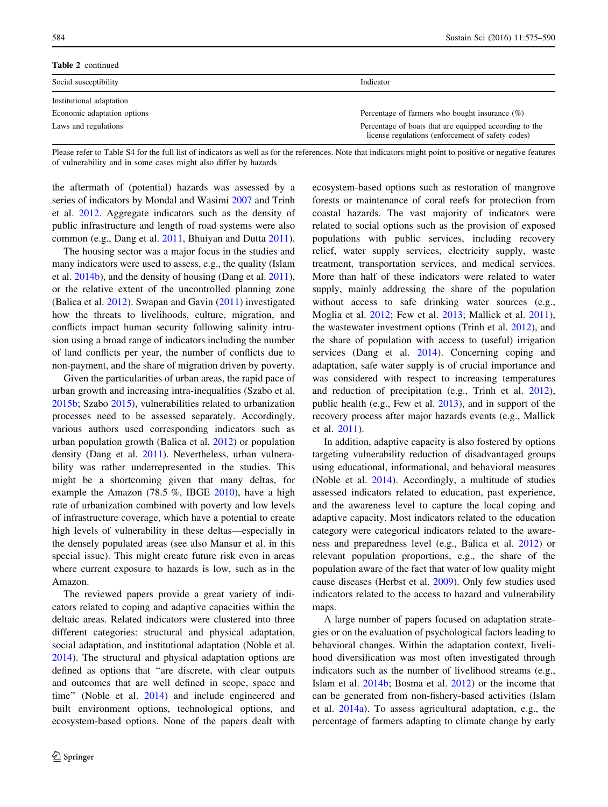| <b>Table 2</b> continued    |                                                                                                             |  |
|-----------------------------|-------------------------------------------------------------------------------------------------------------|--|
| Social susceptibility       | Indicator                                                                                                   |  |
| Institutional adaptation    |                                                                                                             |  |
| Economic adaptation options | Percentage of farmers who bought insurance $(\%)$                                                           |  |
| Laws and regulations        | Percentage of boats that are equipped according to the<br>license regulations (enforcement of safety codes) |  |

Please refer to Table S4 for the full list of indicators as well as for the references. Note that indicators might point to positive or negative features of vulnerability and in some cases might also differ by hazards

the aftermath of (potential) hazards was assessed by a series of indicators by Mondal and Wasimi [2007](#page-13-0) and Trinh et al. [2012](#page-14-0). Aggregate indicators such as the density of public infrastructure and length of road systems were also common (e.g., Dang et al. [2011](#page-12-0), Bhuiyan and Dutta [2011](#page-11-0)).

The housing sector was a major focus in the studies and many indicators were used to assess, e.g., the quality (Islam et al. [2014b\)](#page-13-0), and the density of housing (Dang et al. [2011](#page-12-0)), or the relative extent of the uncontrolled planning zone (Balica et al. [2012\)](#page-11-0). Swapan and Gavin ([2011\)](#page-14-0) investigated how the threats to livelihoods, culture, migration, and conflicts impact human security following salinity intrusion using a broad range of indicators including the number of land conflicts per year, the number of conflicts due to non-payment, and the share of migration driven by poverty.

Given the particularities of urban areas, the rapid pace of urban growth and increasing intra-inequalities (Szabo et al. [2015b;](#page-14-0) Szabo [2015](#page-14-0)), vulnerabilities related to urbanization processes need to be assessed separately. Accordingly, various authors used corresponding indicators such as urban population growth (Balica et al. [2012\)](#page-11-0) or population density (Dang et al. [2011\)](#page-12-0). Nevertheless, urban vulnerability was rather underrepresented in the studies. This might be a shortcoming given that many deltas, for example the Amazon (78.5 %, IBGE [2010\)](#page-12-0), have a high rate of urbanization combined with poverty and low levels of infrastructure coverage, which have a potential to create high levels of vulnerability in these deltas—especially in the densely populated areas (see also Mansur et al. in this special issue). This might create future risk even in areas where current exposure to hazards is low, such as in the Amazon.

The reviewed papers provide a great variety of indicators related to coping and adaptive capacities within the deltaic areas. Related indicators were clustered into three different categories: structural and physical adaptation, social adaptation, and institutional adaptation (Noble et al. [2014\)](#page-13-0). The structural and physical adaptation options are defined as options that ''are discrete, with clear outputs and outcomes that are well defined in scope, space and time'' (Noble et al. [2014](#page-13-0)) and include engineered and built environment options, technological options, and ecosystem-based options. None of the papers dealt with ecosystem-based options such as restoration of mangrove forests or maintenance of coral reefs for protection from coastal hazards. The vast majority of indicators were related to social options such as the provision of exposed populations with public services, including recovery relief, water supply services, electricity supply, waste treatment, transportation services, and medical services. More than half of these indicators were related to water supply, mainly addressing the share of the population without access to safe drinking water sources (e.g., Moglia et al. [2012;](#page-13-0) Few et al. [2013](#page-12-0); Mallick et al. [2011](#page-13-0)), the wastewater investment options (Trinh et al. [2012\)](#page-14-0), and the share of population with access to (useful) irrigation services (Dang et al. [2014\)](#page-12-0). Concerning coping and adaptation, safe water supply is of crucial importance and was considered with respect to increasing temperatures and reduction of precipitation (e.g., Trinh et al. [2012](#page-14-0)), public health (e.g., Few et al. [2013\)](#page-12-0), and in support of the recovery process after major hazards events (e.g., Mallick et al. [2011](#page-13-0)).

In addition, adaptive capacity is also fostered by options targeting vulnerability reduction of disadvantaged groups using educational, informational, and behavioral measures (Noble et al. [2014](#page-13-0)). Accordingly, a multitude of studies assessed indicators related to education, past experience, and the awareness level to capture the local coping and adaptive capacity. Most indicators related to the education category were categorical indicators related to the awareness and preparedness level (e.g., Balica et al. [2012](#page-11-0)) or relevant population proportions, e.g., the share of the population aware of the fact that water of low quality might cause diseases (Herbst et al. [2009](#page-12-0)). Only few studies used indicators related to the access to hazard and vulnerability maps.

A large number of papers focused on adaptation strategies or on the evaluation of psychological factors leading to behavioral changes. Within the adaptation context, livelihood diversification was most often investigated through indicators such as the number of livelihood streams (e.g., Islam et al. [2014b;](#page-13-0) Bosma et al. [2012\)](#page-12-0) or the income that can be generated from non-fishery-based activities (Islam et al. [2014a\)](#page-13-0). To assess agricultural adaptation, e.g., the percentage of farmers adapting to climate change by early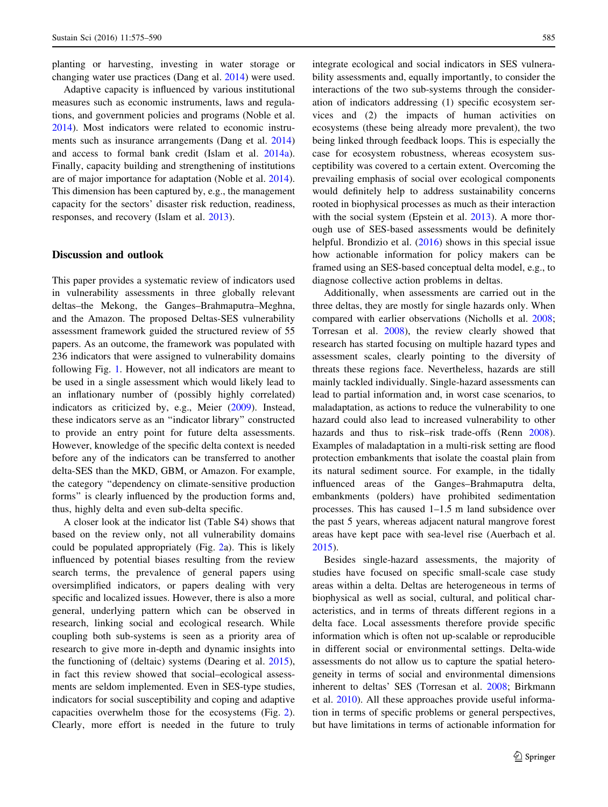planting or harvesting, investing in water storage or changing water use practices (Dang et al. [2014](#page-12-0)) were used.

Adaptive capacity is influenced by various institutional measures such as economic instruments, laws and regulations, and government policies and programs (Noble et al. [2014\)](#page-13-0). Most indicators were related to economic instruments such as insurance arrangements (Dang et al. [2014\)](#page-12-0) and access to formal bank credit (Islam et al. [2014a](#page-13-0)). Finally, capacity building and strengthening of institutions are of major importance for adaptation (Noble et al. [2014](#page-13-0)). This dimension has been captured by, e.g., the management capacity for the sectors' disaster risk reduction, readiness, responses, and recovery (Islam et al. [2013](#page-13-0)).

## Discussion and outlook

This paper provides a systematic review of indicators used in vulnerability assessments in three globally relevant deltas–the Mekong, the Ganges–Brahmaputra–Meghna, and the Amazon. The proposed Deltas-SES vulnerability assessment framework guided the structured review of 55 papers. As an outcome, the framework was populated with 236 indicators that were assigned to vulnerability domains following Fig. [1](#page-4-0). However, not all indicators are meant to be used in a single assessment which would likely lead to an inflationary number of (possibly highly correlated) indicators as criticized by, e.g., Meier [\(2009](#page-13-0)). Instead, these indicators serve as an ''indicator library'' constructed to provide an entry point for future delta assessments. However, knowledge of the specific delta context is needed before any of the indicators can be transferred to another delta-SES than the MKD, GBM, or Amazon. For example, the category ''dependency on climate-sensitive production forms'' is clearly influenced by the production forms and, thus, highly delta and even sub-delta specific.

A closer look at the indicator list (Table S4) shows that based on the review only, not all vulnerability domains could be populated appropriately (Fig. [2](#page-5-0)a). This is likely influenced by potential biases resulting from the review search terms, the prevalence of general papers using oversimplified indicators, or papers dealing with very specific and localized issues. However, there is also a more general, underlying pattern which can be observed in research, linking social and ecological research. While coupling both sub-systems is seen as a priority area of research to give more in-depth and dynamic insights into the functioning of (deltaic) systems (Dearing et al. [2015](#page-12-0)), in fact this review showed that social–ecological assessments are seldom implemented. Even in SES-type studies, indicators for social susceptibility and coping and adaptive capacities overwhelm those for the ecosystems (Fig. [2](#page-5-0)). Clearly, more effort is needed in the future to truly integrate ecological and social indicators in SES vulnerability assessments and, equally importantly, to consider the interactions of the two sub-systems through the consideration of indicators addressing (1) specific ecosystem services and (2) the impacts of human activities on ecosystems (these being already more prevalent), the two being linked through feedback loops. This is especially the case for ecosystem robustness, whereas ecosystem susceptibility was covered to a certain extent. Overcoming the prevailing emphasis of social over ecological components would definitely help to address sustainability concerns rooted in biophysical processes as much as their interaction with the social system (Epstein et al. [2013](#page-12-0)). A more thorough use of SES-based assessments would be definitely helpful. Brondizio et al. [\(2016](#page-12-0)) shows in this special issue how actionable information for policy makers can be framed using an SES-based conceptual delta model, e.g., to diagnose collective action problems in deltas.

Additionally, when assessments are carried out in the three deltas, they are mostly for single hazards only. When compared with earlier observations (Nicholls et al. [2008](#page-13-0); Torresan et al. [2008](#page-14-0)), the review clearly showed that research has started focusing on multiple hazard types and assessment scales, clearly pointing to the diversity of threats these regions face. Nevertheless, hazards are still mainly tackled individually. Single-hazard assessments can lead to partial information and, in worst case scenarios, to maladaptation, as actions to reduce the vulnerability to one hazard could also lead to increased vulnerability to other hazards and thus to risk–risk trade-offs (Renn [2008](#page-14-0)). Examples of maladaptation in a multi-risk setting are flood protection embankments that isolate the coastal plain from its natural sediment source. For example, in the tidally influenced areas of the Ganges–Brahmaputra delta, embankments (polders) have prohibited sedimentation processes. This has caused 1–1.5 m land subsidence over the past 5 years, whereas adjacent natural mangrove forest areas have kept pace with sea-level rise (Auerbach et al. [2015](#page-11-0)).

Besides single-hazard assessments, the majority of studies have focused on specific small-scale case study areas within a delta. Deltas are heterogeneous in terms of biophysical as well as social, cultural, and political characteristics, and in terms of threats different regions in a delta face. Local assessments therefore provide specific information which is often not up-scalable or reproducible in different social or environmental settings. Delta-wide assessments do not allow us to capture the spatial heterogeneity in terms of social and environmental dimensions inherent to deltas' SES (Torresan et al. [2008](#page-14-0); Birkmann et al. [2010\)](#page-11-0). All these approaches provide useful information in terms of specific problems or general perspectives, but have limitations in terms of actionable information for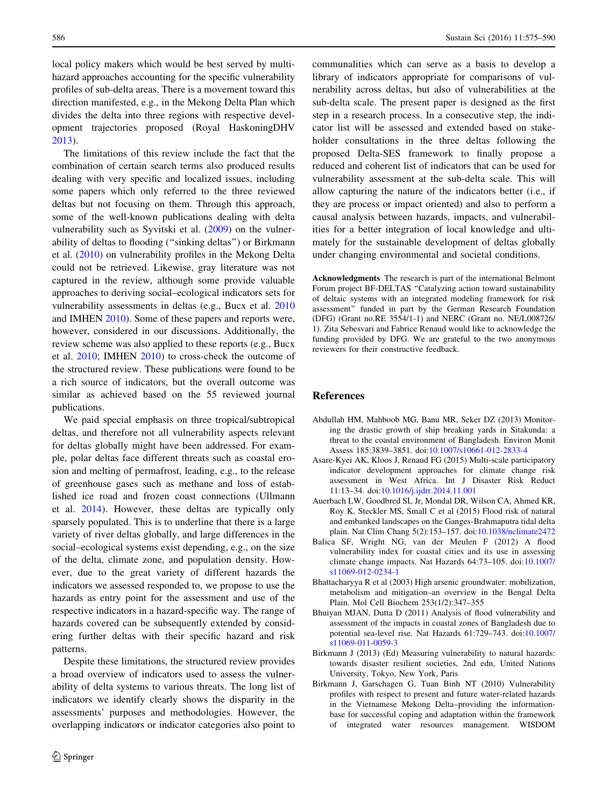<span id="page-11-0"></span>local policy makers which would be best served by multihazard approaches accounting for the specific vulnerability profiles of sub-delta areas. There is a movement toward this direction manifested, e.g., in the Mekong Delta Plan which divides the delta into three regions with respective development trajectories proposed (Royal HaskoningDHV [2013\)](#page-14-0).

The limitations of this review include the fact that the combination of certain search terms also produced results dealing with very specific and localized issues, including some papers which only referred to the three reviewed deltas but not focusing on them. Through this approach, some of the well-known publications dealing with delta vulnerability such as Syvitski et al. ([2009\)](#page-14-0) on the vulnerability of deltas to flooding (''sinking deltas'') or Birkmann et al. (2010) on vulnerability profiles in the Mekong Delta could not be retrieved. Likewise, gray literature was not captured in the review, although some provide valuable approaches to deriving social–ecological indicators sets for vulnerability assessments in deltas (e.g., Bucx et al. [2010](#page-12-0) and IMHEN [2010](#page-12-0)). Some of these papers and reports were, however, considered in our discussions. Additionally, the review scheme was also applied to these reports (e.g., Bucx et al. [2010](#page-12-0); IMHEN [2010\)](#page-12-0) to cross-check the outcome of the structured review. These publications were found to be a rich source of indicators, but the overall outcome was similar as achieved based on the 55 reviewed journal publications.

We paid special emphasis on three tropical/subtropical deltas, and therefore not all vulnerability aspects relevant for deltas globally might have been addressed. For example, polar deltas face different threats such as coastal erosion and melting of permafrost, leading, e.g., to the release of greenhouse gases such as methane and loss of established ice road and frozen coast connections (Ullmann et al. [2014\)](#page-14-0). However, these deltas are typically only sparsely populated. This is to underline that there is a large variety of river deltas globally, and large differences in the social–ecological systems exist depending, e.g., on the size of the delta, climate zone, and population density. However, due to the great variety of different hazards the indicators we assessed responded to, we propose to use the hazards as entry point for the assessment and use of the respective indicators in a hazard-specific way. The range of hazards covered can be subsequently extended by considering further deltas with their specific hazard and risk patterns.

Despite these limitations, the structured review provides a broad overview of indicators used to assess the vulnerability of delta systems to various threats. The long list of indicators we identify clearly shows the disparity in the assessments' purposes and methodologies. However, the overlapping indicators or indicator categories also point to

communalities which can serve as a basis to develop a library of indicators appropriate for comparisons of vulnerability across deltas, but also of vulnerabilities at the sub-delta scale. The present paper is designed as the first step in a research process. In a consecutive step, the indicator list will be assessed and extended based on stakeholder consultations in the three deltas following the proposed Delta-SES framework to finally propose a reduced and coherent list of indicators that can be used for vulnerability assessment at the sub-delta scale. This will allow capturing the nature of the indicators better (i.e., if they are process or impact oriented) and also to perform a causal analysis between hazards, impacts, and vulnerabilities for a better integration of local knowledge and ultimately for the sustainable development of deltas globally under changing environmental and societal conditions.

Acknowledgments The research is part of the international Belmont Forum project BF-DELTAS ''Catalyzing action toward sustainability of deltaic systems with an integrated modeling framework for risk assessment'' funded in part by the German Research Foundation (DFG) (Grant no.RE 3554/1-1) and NERC (Grant no. NE/L008726/ 1). Zita Sebesvari and Fabrice Renaud would like to acknowledge the funding provided by DFG. We are grateful to the two anonymous reviewers for their constructive feedback.

#### References

- Abdullah HM, Mahboob MG, Banu MR, Seker DZ (2013) Monitoring the drastic growth of ship breaking yards in Sitakunda: a threat to the coastal environment of Bangladesh. Environ Monit Assess 185:3839–3851. doi[:10.1007/s10661-012-2833-4](http://dx.doi.org/10.1007/s10661-012-2833-4)
- Asare-Kyei AK, Kloos J, Renaud FG (2015) Multi-scale participatory indicator development approaches for climate change risk assessment in West Africa. Int J Disaster Risk Reduct 11:13–34. doi[:10.1016/j.ijdrr.2014.11.001](http://dx.doi.org/10.1016/j.ijdrr.2014.11.001)
- Auerbach LW, Goodbred SL Jr, Mondal DR, Wilson CA, Ahmed KR, Roy K, Steckler MS, Small C et al (2015) Flood risk of natural and embanked landscapes on the Ganges-Brahmaputra tidal delta plain. Nat Clim Chang 5(2):153–157. doi[:10.1038/nclimate2472](http://dx.doi.org/10.1038/nclimate2472)
- Balica SF, Wright NG, van der Meulen F (2012) A flood vulnerability index for coastal cities and its use in assessing climate change impacts. Nat Hazards 64:73–105. doi:[10.1007/](http://dx.doi.org/10.1007/s11069-012-0234-1) [s11069-012-0234-1](http://dx.doi.org/10.1007/s11069-012-0234-1)
- Bhattacharyya R et al (2003) High arsenic groundwater: mobilization, metabolism and mitigation–an overview in the Bengal Delta Plain. Mol Cell Biochem 253(1/2):347–355
- Bhuiyan MJAN, Dutta D (2011) Analysis of flood vulnerability and assessment of the impacts in coastal zones of Bangladesh due to potential sea-level rise. Nat Hazards 61:729–743. doi[:10.1007/](http://dx.doi.org/10.1007/s11069-011-0059-3) [s11069-011-0059-3](http://dx.doi.org/10.1007/s11069-011-0059-3)
- Birkmann J (2013) (Ed) Measuring vulnerability to natural hazards: towards disaster resilient societies, 2nd edn, United Nations University, Tokyo, New York, Paris
- Birkmann J, Garschagen G, Tuan Binh NT (2010) Vulnerability profiles with respect to present and future water-related hazards in the Vietnamese Mekong Delta–providing the informationbase for successful coping and adaptation within the framework of integrated water resources management. WISDOM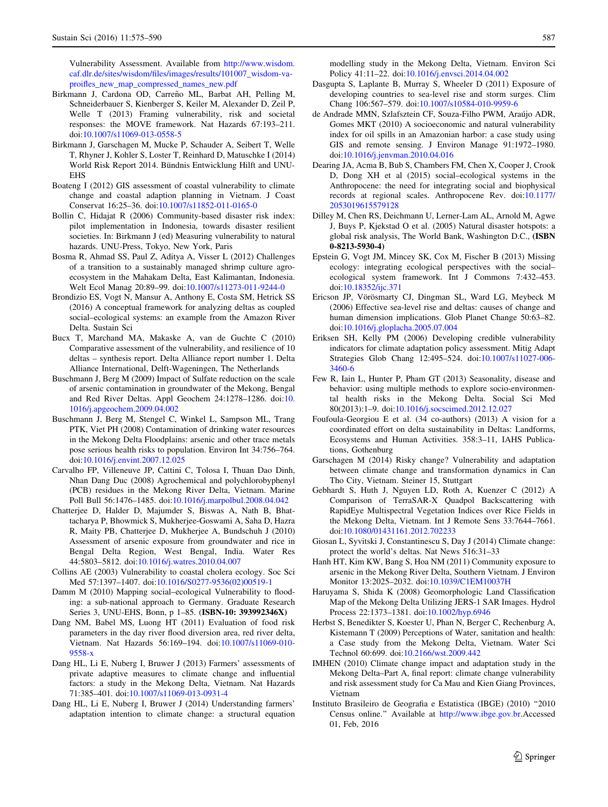<span id="page-12-0"></span>Vulnerability Assessment. Available from [http://www.wisdom.](http://www.wisdom.caf.dlr.de/sites/wisdom/files/images/results/101007_wisdom-va-proifles_new_map_compressed_names_new.pdf) [caf.dlr.de/sites/wisdom/files/images/results/101007\\_wisdom-va](http://www.wisdom.caf.dlr.de/sites/wisdom/files/images/results/101007_wisdom-va-proifles_new_map_compressed_names_new.pdf)[proifles\\_new\\_map\\_compressed\\_names\\_new.pdf](http://www.wisdom.caf.dlr.de/sites/wisdom/files/images/results/101007_wisdom-va-proifles_new_map_compressed_names_new.pdf)

- Birkmann J, Cardona OD, Carreño ML, Barbat AH, Pelling M, Schneiderbauer S, Kienberger S, Keiler M, Alexander D, Zeil P, Welle T (2013) Framing vulnerability, risk and societal responses: the MOVE framework. Nat Hazards 67:193–211. doi[:10.1007/s11069-013-0558-5](http://dx.doi.org/10.1007/s11069-013-0558-5)
- Birkmann J, Garschagen M, Mucke P, Schauder A, Seibert T, Welle T, Rhyner J, Kohler S, Loster T, Reinhard D, Matuschke I (2014) World Risk Report 2014. Bündnis Entwicklung Hilft and UNU-**EHS**
- Boateng I (2012) GIS assessment of coastal vulnerability to climate change and coastal adaption planning in Vietnam. J Coast Conservat 16:25–36. doi[:10.1007/s11852-011-0165-0](http://dx.doi.org/10.1007/s11852-011-0165-0)
- Bollin C, Hidajat R (2006) Community-based disaster risk index: pilot implementation in Indonesia, towards disaster resilient societies. In: Birkmann J (ed) Measuring vulnerability to natural hazards. UNU-Press, Tokyo, New York, Paris
- Bosma R, Ahmad SS, Paul Z, Aditya A, Visser L (2012) Challenges of a transition to a sustainably managed shrimp culture agroecosystem in the Mahakam Delta, East Kalimantan, Indonesia. Welt Ecol Manag 20:89–99. doi[:10.1007/s11273-011-9244-0](http://dx.doi.org/10.1007/s11273-011-9244-0)
- Brondizio ES, Vogt N, Mansur A, Anthony E, Costa SM, Hetrick SS (2016) A conceptual framework for analyzing deltas as coupled social–ecological systems: an example from the Amazon River Delta. Sustain Sci
- Bucx T, Marchand MA, Makaske A, van de Guchte C (2010) Comparative assessment of the vulnerability, and resilience of 10 deltas – synthesis report. Delta Alliance report number 1. Delta Alliance International, Delft-Wageningen, The Netherlands
- Buschmann J, Berg M (2009) Impact of Sulfate reduction on the scale of arsenic contamination in groundwater of the Mekong, Bengal and Red River Deltas. Appl Geochem 24:1278–1286. doi:[10.](http://dx.doi.org/10.1016/j.apgeochem.2009.04.002) [1016/j.apgeochem.2009.04.002](http://dx.doi.org/10.1016/j.apgeochem.2009.04.002)
- Buschmann J, Berg M, Stengel C, Winkel L, Sampson ML, Trang PTK, Viet PH (2008) Contamination of drinking water resources in the Mekong Delta Floodplains: arsenic and other trace metals pose serious health risks to population. Environ Int 34:756–764. doi[:10.1016/j.envint.2007.12.025](http://dx.doi.org/10.1016/j.envint.2007.12.025)
- Carvalho FP, Villeneuve JP, Cattini C, Tolosa I, Thuan Dao Dinh, Nhan Dang Duc (2008) Agrochemical and polychlorobyphenyl (PCB) residues in the Mekong River Delta, Vietnam. Marine Poll Bull 56:1476–1485. doi[:10.1016/j.marpolbul.2008.04.042](http://dx.doi.org/10.1016/j.marpolbul.2008.04.042)
- Chatterjee D, Halder D, Majumder S, Biswas A, Nath B, Bhattacharya P, Bhowmick S, Mukherjee-Goswami A, Saha D, Hazra R, Maity PB, Chatterjee D, Mukherjee A, Bundschuh J (2010) Assessment of arsenic exposure from groundwater and rice in Bengal Delta Region, West Bengal, India. Water Res 44:5803–5812. doi[:10.1016/j.watres.2010.04.007](http://dx.doi.org/10.1016/j.watres.2010.04.007)
- Collins AE (2003) Vulnerability to coastal cholera ecology. Soc Sci Med 57:1397–1407. doi:[10.1016/S0277-9536\(02\)00519-1](http://dx.doi.org/10.1016/S0277-9536(02)00519-1)
- Damm M (2010) Mapping social–ecological Vulnerability to flooding: a sub-national approach to Germany. Graduate Research Series 3, UNU-EHS, Bonn, p 1–85. (ISBN-10: 393992346X)
- Dang NM, Babel MS, Luong HT (2011) Evaluation of food risk parameters in the day river flood diversion area, red river delta, Vietnam. Nat Hazards 56:169–194. doi[:10.1007/s11069-010-](http://dx.doi.org/10.1007/s11069-010-9558-x) [9558-x](http://dx.doi.org/10.1007/s11069-010-9558-x)
- Dang HL, Li E, Nuberg I, Bruwer J (2013) Farmers' assessments of private adaptive measures to climate change and influential factors: a study in the Mekong Delta, Vietnam. Nat Hazards 71:385–401. doi:[10.1007/s11069-013-0931-4](http://dx.doi.org/10.1007/s11069-013-0931-4)
- Dang HL, Li E, Nuberg I, Bruwer J (2014) Understanding farmers' adaptation intention to climate change: a structural equation

modelling study in the Mekong Delta, Vietnam. Environ Sci Policy 41:11–22. doi:[10.1016/j.envsci.2014.04.002](http://dx.doi.org/10.1016/j.envsci.2014.04.002)

- Dasgupta S, Laplante B, Murray S, Wheeler D (2011) Exposure of developing countries to sea-level rise and storm surges. Clim Chang 106:567–579. doi[:10.1007/s10584-010-9959-6](http://dx.doi.org/10.1007/s10584-010-9959-6)
- de Andrade MMN, Szlafsztein CF, Souza-Filho PWM, Arau´jo ADR, Gomes MKT (2010) A socioeconomic and natural vulnerability index for oil spills in an Amazonian harbor: a case study using GIS and remote sensing. J Environ Manage 91:1972–1980. doi[:10.1016/j.jenvman.2010.04.016](http://dx.doi.org/10.1016/j.jenvman.2010.04.016)
- Dearing JA, Acma B, Bub S, Chambers FM, Chen X, Cooper J, Crook D, Dong XH et al (2015) social–ecological systems in the Anthropocene: the need for integrating social and biophysical records at regional scales. Anthropocene Rev. doi[:10.1177/](http://dx.doi.org/10.1177/2053019615579128) [2053019615579128](http://dx.doi.org/10.1177/2053019615579128)
- Dilley M, Chen RS, Deichmann U, Lerner-Lam AL, Arnold M, Agwe J, Buys P, Kjekstad O et al. (2005) Natural disaster hotspots: a global risk analysis, The World Bank, Washington D.C., (ISBN 0-8213-5930-4)
- Epstein G, Vogt JM, Mincey SK, Cox M, Fischer B (2013) Missing ecology: integrating ecological perspectives with the social– ecological system framework. Int J Commons 7:432–453. doi[:10.18352/ijc.371](http://dx.doi.org/10.18352/ijc.371)
- Ericson JP, Vörösmarty CJ, Dingman SL, Ward LG, Meybeck M (2006) Effective sea-level rise and deltas: causes of change and human dimension implications. Glob Planet Change 50:63–82. doi[:10.1016/j.gloplacha.2005.07.004](http://dx.doi.org/10.1016/j.gloplacha.2005.07.004)
- Eriksen SH, Kelly PM (2006) Developing credible vulnerability indicators for climate adaptation policy assessment. Mitig Adapt Strategies Glob Chang 12:495–524. doi:[10.1007/s11027-006-](http://dx.doi.org/10.1007/s11027-006-3460-6) [3460-6](http://dx.doi.org/10.1007/s11027-006-3460-6)
- Few R, Iain L, Hunter P, Pham GT (2013) Seasonality, disease and behavior: using multiple methods to explore socio-environmental health risks in the Mekong Delta. Social Sci Med 80(2013):1–9. doi[:10.1016/j.socscimed.2012.12.027](http://dx.doi.org/10.1016/j.socscimed.2012.12.027)
- Foufoula-Georgiou E et al. (34 co-authors) (2013) A vision for a coordinated effort on delta sustainability in Deltas: Landforms, Ecosystems and Human Activities. 358:3–11, IAHS Publications, Gothenburg
- Garschagen M (2014) Risky change? Vulnerability and adaptation between climate change and transformation dynamics in Can Tho City, Vietnam. Steiner 15, Stuttgart
- Gebhardt S, Huth J, Nguyen LD, Roth A, Kuenzer C (2012) A Comparison of TerraSAR-X Quadpol Backscattering with RapidEye Multispectral Vegetation Indices over Rice Fields in the Mekong Delta, Vietnam. Int J Remote Sens 33:7644–7661. doi[:10.1080/01431161.2012.702233](http://dx.doi.org/10.1080/01431161.2012.702233)
- Giosan L, Syvitski J, Constantinescu S, Day J (2014) Climate change: protect the world's deltas. Nat News 516:31–33
- Hanh HT, Kim KW, Bang S, Hoa NM (2011) Community exposure to arsenic in the Mekong River Delta, Southern Vietnam. J Environ Monitor 13:2025–2032. doi:[10.1039/C1EM10037H](http://dx.doi.org/10.1039/C1EM10037H)
- Haruyama S, Shida K (2008) Geomorphologic Land Classification Map of the Mekong Delta Utilizing JERS-1 SAR Images. Hydrol Process 22:1373–1381. doi:[10.1002/hyp.6946](http://dx.doi.org/10.1002/hyp.6946)
- Herbst S, Benedikter S, Koester U, Phan N, Berger C, Rechenburg A, Kistemann T (2009) Perceptions of Water, sanitation and health: a Case study from the Mekong Delta, Vietnam. Water Sci Technol 60:699. doi:[10.2166/wst.2009.442](http://dx.doi.org/10.2166/wst.2009.442)
- IMHEN (2010) Climate change impact and adaptation study in the Mekong Delta–Part A, final report: climate change vulnerability and risk assessment study for Ca Mau and Kien Giang Provinces, Vietnam
- Instituto Brasileiro de Geografia e Estatistica (IBGE) (2010) ''2010 Census online.'' Available at <http://www.ibge.gov.br>.Accessed 01, Feb, 2016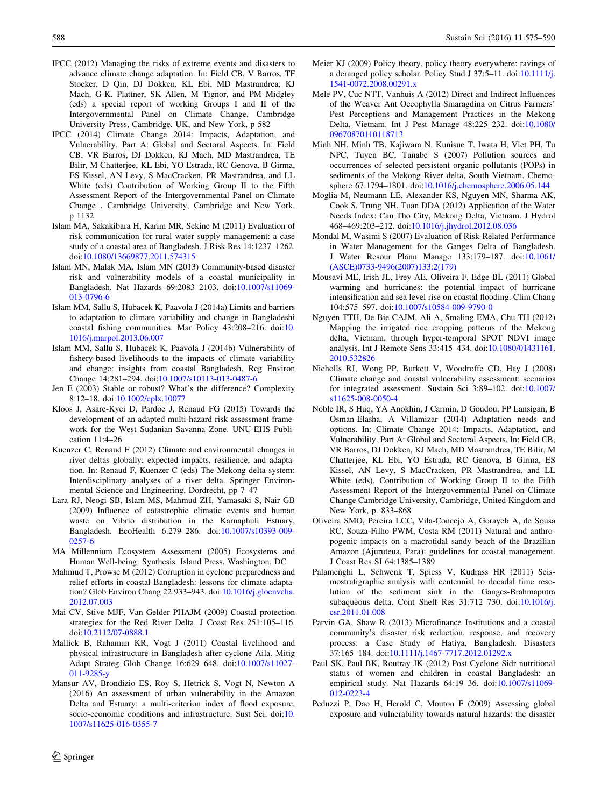- <span id="page-13-0"></span>IPCC (2012) Managing the risks of extreme events and disasters to advance climate change adaptation. In: Field CB, V Barros, TF Stocker, D Qin, DJ Dokken, KL Ebi, MD Mastrandrea, KJ Mach, G-K. Plattner, SK Allen, M Tignor, and PM Midgley (eds) a special report of working Groups I and II of the Intergovernmental Panel on Climate Change, Cambridge University Press, Cambridge, UK, and New York, p 582
- IPCC (2014) Climate Change 2014: Impacts, Adaptation, and Vulnerability. Part A: Global and Sectoral Aspects. In: Field CB, VR Barros, DJ Dokken, KJ Mach, MD Mastrandrea, TE Bilir, M Chatterjee, KL Ebi, YO Estrada, RC Genova, B Girma, ES Kissel, AN Levy, S MacCracken, PR Mastrandrea, and LL White (eds) Contribution of Working Group II to the Fifth Assessment Report of the Intergovernmental Panel on Climate Change , Cambridge University, Cambridge and New York, p 1132
- Islam MA, Sakakibara H, Karim MR, Sekine M (2011) Evaluation of risk communication for rural water supply management: a case study of a coastal area of Bangladesh. J Risk Res 14:1237–1262. doi[:10.1080/13669877.2011.574315](http://dx.doi.org/10.1080/13669877.2011.574315)
- Islam MN, Malak MA, Islam MN (2013) Community-based disaster risk and vulnerability models of a coastal municipality in Bangladesh. Nat Hazards 69:2083–2103. doi:[10.1007/s11069-](http://dx.doi.org/10.1007/s11069-013-0796-6) [013-0796-6](http://dx.doi.org/10.1007/s11069-013-0796-6)
- Islam MM, Sallu S, Hubacek K, Paavola J (2014a) Limits and barriers to adaptation to climate variability and change in Bangladeshi coastal fishing communities. Mar Policy 43:208–216. doi:[10.](http://dx.doi.org/10.1016/j.marpol.2013.06.007) [1016/j.marpol.2013.06.007](http://dx.doi.org/10.1016/j.marpol.2013.06.007)
- Islam MM, Sallu S, Hubacek K, Paavola J (2014b) Vulnerability of fishery-based livelihoods to the impacts of climate variability and change: insights from coastal Bangladesh. Reg Environ Change 14:281–294. doi[:10.1007/s10113-013-0487-6](http://dx.doi.org/10.1007/s10113-013-0487-6)
- Jen E (2003) Stable or robust? What's the difference? Complexity 8:12–18. doi:[10.1002/cplx.10077](http://dx.doi.org/10.1002/cplx.10077)
- Kloos J, Asare-Kyei D, Pardoe J, Renaud FG (2015) Towards the development of an adapted multi-hazard risk assessment framework for the West Sudanian Savanna Zone. UNU-EHS Publication 11:4–26
- Kuenzer C, Renaud F (2012) Climate and environmental changes in river deltas globally: expected impacts, resilience, and adaptation. In: Renaud F, Kuenzer C (eds) The Mekong delta system: Interdisciplinary analyses of a river delta. Springer Environmental Science and Engineering, Dordrecht, pp 7–47
- Lara RJ, Neogi SB, Islam MS, Mahmud ZH, Yamasaki S, Nair GB (2009) Influence of catastrophic climatic events and human waste on Vibrio distribution in the Karnaphuli Estuary, Bangladesh. EcoHealth 6:279–286. doi[:10.1007/s10393-009-](http://dx.doi.org/10.1007/s10393-009-0257-6) [0257-6](http://dx.doi.org/10.1007/s10393-009-0257-6)
- MA Millennium Ecosystem Assessment (2005) Ecosystems and Human Well-being: Synthesis. Island Press, Washington, DC
- Mahmud T, Prowse M (2012) Corruption in cyclone preparedness and relief efforts in coastal Bangladesh: lessons for climate adaptation? Glob Environ Chang 22:933–943. doi:[10.1016/j.gloenvcha.](http://dx.doi.org/10.1016/j.gloenvcha.2012.07.003) [2012.07.003](http://dx.doi.org/10.1016/j.gloenvcha.2012.07.003)
- Mai CV, Stive MJF, Van Gelder PHAJM (2009) Coastal protection strategies for the Red River Delta. J Coast Res 251:105–116. doi[:10.2112/07-0888.1](http://dx.doi.org/10.2112/07-0888.1)
- Mallick B, Rahaman KR, Vogt J (2011) Coastal livelihood and physical infrastructure in Bangladesh after cyclone Aila. Mitig Adapt Strateg Glob Change 16:629–648. doi:[10.1007/s11027-](http://dx.doi.org/10.1007/s11027-011-9285-y) [011-9285-y](http://dx.doi.org/10.1007/s11027-011-9285-y)
- Mansur AV, Brondizio ES, Roy S, Hetrick S, Vogt N, Newton A (2016) An assessment of urban vulnerability in the Amazon Delta and Estuary: a multi-criterion index of flood exposure, socio-economic conditions and infrastructure. Sust Sci. doi:[10.](http://dx.doi.org/10.1007/s11625-016-0355-7) [1007/s11625-016-0355-7](http://dx.doi.org/10.1007/s11625-016-0355-7)
- Meier KJ (2009) Policy theory, policy theory everywhere: ravings of a deranged policy scholar. Policy Stud J 37:5–11. doi:[10.1111/j.](http://dx.doi.org/10.1111/j.1541-0072.2008.00291.x) [1541-0072.2008.00291.x](http://dx.doi.org/10.1111/j.1541-0072.2008.00291.x)
- Mele PV, Cuc NTT, Vanhuis A (2012) Direct and Indirect Influences of the Weaver Ant Oecophylla Smaragdina on Citrus Farmers' Pest Perceptions and Management Practices in the Mekong Delta, Vietnam. Int J Pest Manage 48:225–232. doi[:10.1080/](http://dx.doi.org/10.1080/09670870110118713) [09670870110118713](http://dx.doi.org/10.1080/09670870110118713)
- Minh NH, Minh TB, Kajiwara N, Kunisue T, Iwata H, Viet PH, Tu NPC, Tuyen BC, Tanabe S (2007) Pollution sources and occurrences of selected persistent organic pollutants (POPs) in sediments of the Mekong River delta, South Vietnam. Chemosphere 67:1794–1801. doi[:10.1016/j.chemosphere.2006.05.144](http://dx.doi.org/10.1016/j.chemosphere.2006.05.144)
- Moglia M, Neumann LE, Alexander KS, Nguyen MN, Sharma AK, Cook S, Trung NH, Tuan DDA (2012) Application of the Water Needs Index: Can Tho City, Mekong Delta, Vietnam. J Hydrol 468–469:203–212. doi:[10.1016/j.jhydrol.2012.08.036](http://dx.doi.org/10.1016/j.jhydrol.2012.08.036)
- Mondal M, Wasimi S (2007) Evaluation of Risk-Related Performance in Water Management for the Ganges Delta of Bangladesh. J Water Resour Plann Manage 133:179–187. doi[:10.1061/](http://dx.doi.org/10.1061/(ASCE)0733-9496(2007)133:2(179)) [\(ASCE\)0733-9496\(2007\)133:2\(179\)](http://dx.doi.org/10.1061/(ASCE)0733-9496(2007)133:2(179))
- Mousavi ME, Irish JL, Frey AE, Oliveira F, Edge BL (2011) Global warming and hurricanes: the potential impact of hurricane intensification and sea level rise on coastal flooding. Clim Chang 104:575–597. doi[:10.1007/s10584-009-9790-0](http://dx.doi.org/10.1007/s10584-009-9790-0)
- Nguyen TTH, De Bie CAJM, Ali A, Smaling EMA, Chu TH (2012) Mapping the irrigated rice cropping patterns of the Mekong delta, Vietnam, through hyper-temporal SPOT NDVI image analysis. Int J Remote Sens 33:415–434. doi[:10.1080/01431161.](http://dx.doi.org/10.1080/01431161.2010.532826) [2010.532826](http://dx.doi.org/10.1080/01431161.2010.532826)
- Nicholls RJ, Wong PP, Burkett V, Woodroffe CD, Hay J (2008) Climate change and coastal vulnerability assessment: scenarios for integrated assessment. Sustain Sci 3:89–102. doi[:10.1007/](http://dx.doi.org/10.1007/s11625-008-0050-4) [s11625-008-0050-4](http://dx.doi.org/10.1007/s11625-008-0050-4)
- Noble IR, S Huq, YA Anokhin, J Carmin, D Goudou, FP Lansigan, B Osman-Elasha, A Villamizar (2014) Adaptation needs and options. In: Climate Change 2014: Impacts, Adaptation, and Vulnerability. Part A: Global and Sectoral Aspects. In: Field CB, VR Barros, DJ Dokken, KJ Mach, MD Mastrandrea, TE Bilir, M Chatterjee, KL Ebi, YO Estrada, RC Genova, B Girma, ES Kissel, AN Levy, S MacCracken, PR Mastrandrea, and LL White (eds). Contribution of Working Group II to the Fifth Assessment Report of the Intergovernmental Panel on Climate Change Cambridge University, Cambridge, United Kingdom and New York, p. 833–868
- Oliveira SMO, Pereira LCC, Vila-Concejo A, Gorayeb A, de Sousa RC, Souza-Filho PWM, Costa RM (2011) Natural and anthropogenic impacts on a macrotidal sandy beach of the Brazilian Amazon (Ajuruteua, Para): guidelines for coastal management. J Coast Res SI 64:1385–1389
- Palamenghi L, Schwenk T, Spiess V, Kudrass HR (2011) Seismostratigraphic analysis with centennial to decadal time resolution of the sediment sink in the Ganges-Brahmaputra subaqueous delta. Cont Shelf Res 31:712–730. doi:[10.1016/j.](http://dx.doi.org/10.1016/j.csr.2011.01.008) [csr.2011.01.008](http://dx.doi.org/10.1016/j.csr.2011.01.008)
- Parvin GA, Shaw R (2013) Microfinance Institutions and a coastal community's disaster risk reduction, response, and recovery process: a Case Study of Hatiya, Bangladesh. Disasters 37:165–184. doi:[10.1111/j.1467-7717.2012.01292.x](http://dx.doi.org/10.1111/j.1467-7717.2012.01292.x)
- Paul SK, Paul BK, Routray JK (2012) Post-Cyclone Sidr nutritional status of women and children in coastal Bangladesh: an empirical study. Nat Hazards 64:19–36. doi[:10.1007/s11069-](http://dx.doi.org/10.1007/s11069-012-0223-4) [012-0223-4](http://dx.doi.org/10.1007/s11069-012-0223-4)
- Peduzzi P, Dao H, Herold C, Mouton F (2009) Assessing global exposure and vulnerability towards natural hazards: the disaster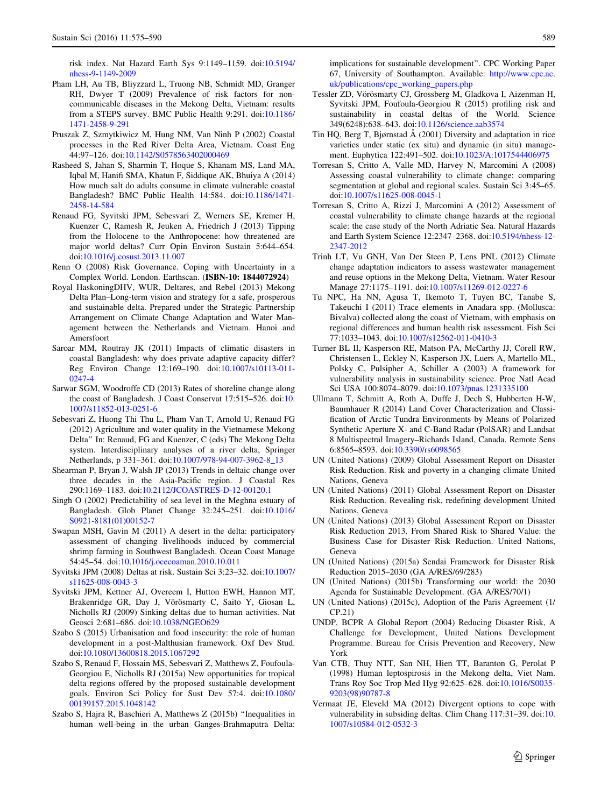<span id="page-14-0"></span>risk index. Nat Hazard Earth Sys 9:1149–1159. doi[:10.5194/](http://dx.doi.org/10.5194/nhess-9-1149-2009) [nhess-9-1149-2009](http://dx.doi.org/10.5194/nhess-9-1149-2009)

- Pham LH, Au TB, Bliyzzard L, Truong NB, Schmidt MD, Granger RH, Dwyer T (2009) Prevalence of risk factors for noncommunicable diseases in the Mekong Delta, Vietnam: results from a STEPS survey. BMC Public Health 9:291. doi[:10.1186/](http://dx.doi.org/10.1186/1471-2458-9-291) [1471-2458-9-291](http://dx.doi.org/10.1186/1471-2458-9-291)
- Pruszak Z, Szmytkiwicz M, Hung NM, Van Ninh P (2002) Coastal processes in the Red River Delta Area, Vietnam. Coast Eng 44:97–126. doi[:10.1142/S0578563402000469](http://dx.doi.org/10.1142/S0578563402000469)
- Rasheed S, Jahan S, Sharmin T, Hoque S, Khanam MS, Land MA, Iqbal M, Hanifi SMA, Khatun F, Siddique AK, Bhuiya A (2014) How much salt do adults consume in climate vulnerable coastal Bangladesh? BMC Public Health 14:584. doi[:10.1186/1471-](http://dx.doi.org/10.1186/1471-2458-14-584) [2458-14-584](http://dx.doi.org/10.1186/1471-2458-14-584)
- Renaud FG, Syvitski JPM, Sebesvari Z, Werners SE, Kremer H, Kuenzer C, Ramesh R, Jeuken A, Friedrich J (2013) Tipping from the Holocene to the Anthropocene: how threatened are major world deltas? Curr Opin Environ Sustain 5:644–654. doi[:10.1016/j.cosust.2013.11.007](http://dx.doi.org/10.1016/j.cosust.2013.11.007)
- Renn O (2008) Risk Governance. Coping with Uncertainty in a Complex World. London. Earthscan. (ISBN-10: 1844072924)
- Royal HaskoningDHV, WUR, Deltares, and Rebel (2013) Mekong Delta Plan–Long-term vision and strategy for a safe, prosperous and sustainable delta. Prepared under the Strategic Partnership Arrangement on Climate Change Adaptation and Water Management between the Netherlands and Vietnam. Hanoi and Amersfoort
- Saroar MM, Routray JK (2011) Impacts of climatic disasters in coastal Bangladesh: why does private adaptive capacity differ? Reg Environ Change 12:169–190. doi[:10.1007/s10113-011-](http://dx.doi.org/10.1007/s10113-011-0247-4) [0247-4](http://dx.doi.org/10.1007/s10113-011-0247-4)
- Sarwar SGM, Woodroffe CD (2013) Rates of shoreline change along the coast of Bangladesh. J Coast Conservat 17:515–526. doi:[10.](http://dx.doi.org/10.1007/s11852-013-0251-6) [1007/s11852-013-0251-6](http://dx.doi.org/10.1007/s11852-013-0251-6)
- Sebesvari Z, Huong Thi Thu L, Pham Van T, Arnold U, Renaud FG (2012) Agriculture and water quality in the Vietnamese Mekong Delta'' In: Renaud, FG and Kuenzer, C (eds) The Mekong Delta system. Interdisciplinary analyses of a river delta, Springer Netherlands, p 331–361. doi:[10.1007/978-94-007-3962-8\\_13](http://dx.doi.org/10.1007/978-94-007-3962-8_13)
- Shearman P, Bryan J, Walsh JP (2013) Trends in deltaic change over three decades in the Asia-Pacific region. J Coastal Res 290:1169–1183. doi[:10.2112/JCOASTRES-D-12-00120.1](http://dx.doi.org/10.2112/JCOASTRES-D-12-00120.1)
- Singh O (2002) Predictability of sea level in the Meghna estuary of Bangladesh. Glob Planet Change 32:245–251. doi[:10.1016/](http://dx.doi.org/10.1016/S0921-8181(01)00152-7) [S0921-8181\(01\)00152-7](http://dx.doi.org/10.1016/S0921-8181(01)00152-7)
- Swapan MSH, Gavin M (2011) A desert in the delta: participatory assessment of changing livelihoods induced by commercial shrimp farming in Southwest Bangladesh. Ocean Coast Manage 54:45–54. doi[:10.1016/j.ocecoaman.2010.10.011](http://dx.doi.org/10.1016/j.ocecoaman.2010.10.011)
- Syvitski JPM (2008) Deltas at risk. Sustain Sci 3:23–32. doi[:10.1007/](http://dx.doi.org/10.1007/s11625-008-0043-3) [s11625-008-0043-3](http://dx.doi.org/10.1007/s11625-008-0043-3)
- Syvitski JPM, Kettner AJ, Overeem I, Hutton EWH, Hannon MT, Brakenridge GR, Day J, Vörösmarty C, Saito Y, Giosan L, Nicholls RJ (2009) Sinking deltas due to human activities. Nat Geosci 2:681–686. doi:[10.1038/NGEO629](http://dx.doi.org/10.1038/NGEO629)
- Szabo S (2015) Urbanisation and food insecurity: the role of human development in a post-Malthusian framework. Oxf Dev Stud. doi[:10.1080/13600818.2015.1067292](http://dx.doi.org/10.1080/13600818.2015.1067292)
- Szabo S, Renaud F, Hossain MS, Sebesvari Z, Matthews Z, Foufoula-Georgiou E, Nicholls RJ (2015a) New opportunities for tropical delta regions offered by the proposed sustainable development goals. Environ Sci Policy for Sust Dev 57:4. doi[:10.1080/](http://dx.doi.org/10.1080/00139157.2015.1048142) [00139157.2015.1048142](http://dx.doi.org/10.1080/00139157.2015.1048142)
- Szabo S, Hajra R, Baschieri A, Matthews Z (2015b) ''Inequalities in human well-being in the urban Ganges-Brahmaputra Delta:

implications for sustainable development''. CPC Working Paper 67, University of Southampton. Available: [http://www.cpc.ac.](http://www.cpc.ac.uk/publications/cpc_working_papers.php) [uk/publications/cpc\\_working\\_papers.php](http://www.cpc.ac.uk/publications/cpc_working_papers.php)

- Tessler ZD, Vörösmarty CJ, Grossberg M, Gladkova I, Aizenman H, Syvitski JPM, Foufoula-Georgiou R (2015) profiling risk and sustainability in coastal deltas of the World. Science 349(6248):638–643. doi:[10.1126/science.aab3574](http://dx.doi.org/10.1126/science.aab3574)
- Tin HQ, Berg T, Bjørnstad  $\AA$  (2001) Diversity and adaptation in rice varieties under static (ex situ) and dynamic (in situ) management. Euphytica 122:491–502. doi[:10.1023/A:1017544406975](http://dx.doi.org/10.1023/A:1017544406975)
- Torresan S, Critto A, Valle MD, Harvey N, Marcomini A (2008) Assessing coastal vulnerability to climate change: comparing segmentation at global and regional scales. Sustain Sci 3:45–65. doi[:10.1007/s11625-008-0045-1](http://dx.doi.org/10.1007/s11625-008-0045-1)
- Torresan S, Critto A, Rizzi J, Marcomini A (2012) Assessment of coastal vulnerability to climate change hazards at the regional scale: the case study of the North Adriatic Sea. Natural Hazards and Earth System Science 12:2347–2368. doi[:10.5194/nhess-12-](http://dx.doi.org/10.5194/nhess-12-2347-2012) [2347-2012](http://dx.doi.org/10.5194/nhess-12-2347-2012)
- Trinh LT, Vu GNH, Van Der Steen P, Lens PNL (2012) Climate change adaptation indicators to assess wastewater management and reuse options in the Mekong Delta, Vietnam. Water Resour Manage 27:1175–1191. doi[:10.1007/s11269-012-0227-6](http://dx.doi.org/10.1007/s11269-012-0227-6)
- Tu NPC, Ha NN, Agusa T, Ikemoto T, Tuyen BC, Tanabe S, Takeuchi I (2011) Trace elements in Anadara spp. (Mollusca: Bivalva) collected along the coast of Vietnam, with emphasis on regional differences and human health risk assessment. Fish Sci 77:1033–1043. doi[:10.1007/s12562-011-0410-3](http://dx.doi.org/10.1007/s12562-011-0410-3)
- Turner BL II, Kasperson RE, Matson PA, McCarthy JJ, Corell RW, Christensen L, Eckley N, Kasperson JX, Luers A, Martello ML, Polsky C, Pulsipher A, Schiller A (2003) A framework for vulnerability analysis in sustainability science. Proc Natl Acad Sci USA 100:8074–8079. doi:[10.1073/pnas.1231335100](http://dx.doi.org/10.1073/pnas.1231335100)
- Ullmann T, Schmitt A, Roth A, Duffe J, Dech S, Hubberten H-W, Baumhauer R (2014) Land Cover Characterization and Classification of Arctic Tundra Environments by Means of Polarized Synthetic Aperture X- and C-Band Radar (PolSAR) and Landsat 8 Multispectral Imagery–Richards Island, Canada. Remote Sens 6:8565–8593. doi[:10.3390/rs6098565](http://dx.doi.org/10.3390/rs6098565)
- UN (United Nations) (2009) Global Assessment Report on Disaster Risk Reduction. Risk and poverty in a changing climate United Nations, Geneva
- UN (United Nations) (2011) Global Assessment Report on Disaster Risk Reduction. Revealing risk, redefining development United Nations, Geneva
- UN (United Nations) (2013) Global Assessment Report on Disaster Risk Reduction 2013. From Shared Risk to Shared Value: the Business Case for Disaster Risk Reduction. United Nations, Geneva
- UN (United Nations) (2015a) Sendai Framework for Disaster Risk Reduction 2015–2030 (GA A/RES/69/283)
- UN (United Nations) (2015b) Transforming our world: the 2030 Agenda for Sustainable Development. (GA A/RES/70/1)
- UN (United Nations) (2015c), Adoption of the Paris Agreement (1/ CP.21)
- UNDP, BCPR A Global Report (2004) Reducing Disaster Risk, A Challenge for Development, United Nations Development Programme. Bureau for Crisis Prevention and Recovery, New York
- Van CTB, Thuy NTT, San NH, Hien TT, Baranton G, Perolat P (1998) Human leptospirosis in the Mekong delta, Viet Nam. Trans Roy Soc Trop Med Hyg 92:625–628. doi:[10.1016/S0035-](http://dx.doi.org/10.1016/S0035-9203(98)90787-8) [9203\(98\)90787-8](http://dx.doi.org/10.1016/S0035-9203(98)90787-8)
- Vermaat JE, Eleveld MA (2012) Divergent options to cope with vulnerability in subsiding deltas. Clim Chang 117:31–39. doi:[10.](http://dx.doi.org/10.1007/s10584-012-0532-3) [1007/s10584-012-0532-3](http://dx.doi.org/10.1007/s10584-012-0532-3)